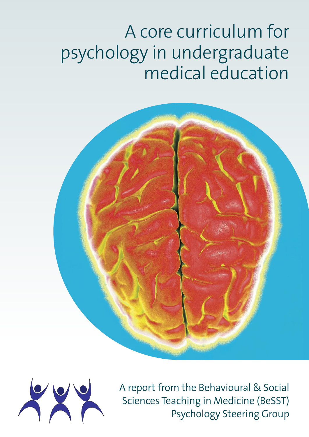# A core curriculum for psychology in undergraduate medical education





A report from the Behavioural & Social Sciences Teaching in Medicine (BeSST) Psychology Steering Group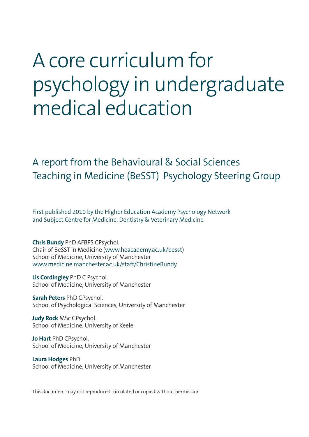# A core curriculum for psychology in undergraduate medical education

### A report from the Behavioural & Social Sciences Teaching in Medicine (BeSST) Psychology Steering Group

First published 2010 by the Higher Education Academy Psychology Network and Subject Centre for Medicine, Dentistry & Veterinary Medicine

**Chris Bundy** PhD AFBPS CPsychol. Chair of BeSST in Medicine (www.heacademy.ac.uk/besst) School of Medicine, University of Manchester www.medicine.manchester.ac.uk/staff/ChristineBundy

**Lis Cordingley** PhD C Psychol. School of Medicine, University of Manchester

**Sarah Peters** PhD CPsychol. School of Psychological Sciences, University of Manchester

**Judy Rock** MSc CPsychol. School of Medicine, University of Keele

**Jo Hart** PhD CPsychol. School of Medicine, University of Manchester

**Laura Hodges** PhD School of Medicine, University of Manchester

This document may not reproduced, circulated or copied without permission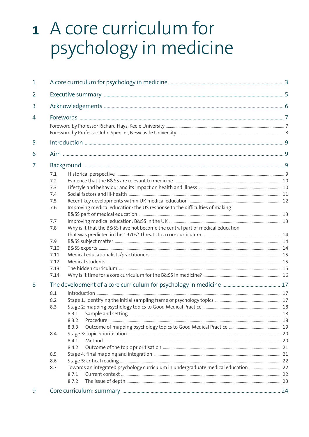# 1 A core curriculum for psychology in medicine

| 7.1<br>7.2<br>7.3<br>7.4<br>7.5<br>Improving medical education: the US response to the difficulties of making<br>7.6<br>7.7<br>Why is it that the B&SS have not become the central part of medical education<br>7.8<br>7.9<br>7.10<br>7.11<br>7.12<br>7.13<br>7.14 |                                                                                    |
|--------------------------------------------------------------------------------------------------------------------------------------------------------------------------------------------------------------------------------------------------------------------|------------------------------------------------------------------------------------|
| 8.1<br>8.2<br>8.3<br>8.3.1<br>8.3.2<br>8.3.3<br>8.4<br>8.4.1<br>8.4.2<br>8.5<br>8.6<br>8.7<br>8.7.1<br>8.7.2                                                                                                                                                       |                                                                                    |
|                                                                                                                                                                                                                                                                    | Towards an integrated psychology curriculum in undergraduate medical education  22 |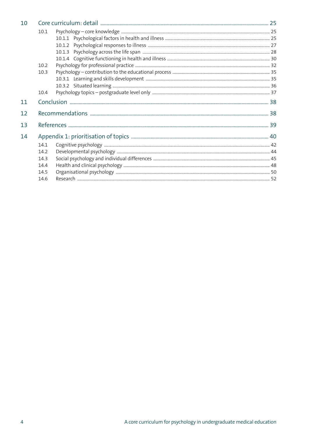| 10 |      |  |  |
|----|------|--|--|
|    | 10.1 |  |  |
|    |      |  |  |
|    |      |  |  |
|    |      |  |  |
|    |      |  |  |
|    | 10.2 |  |  |
|    | 10.3 |  |  |
|    |      |  |  |
|    |      |  |  |
|    | 10.4 |  |  |
| 11 |      |  |  |
| 12 |      |  |  |
| 13 |      |  |  |
| 14 |      |  |  |
|    | 14.1 |  |  |
|    | 14.2 |  |  |
|    | 14.3 |  |  |
|    | 14.4 |  |  |
|    | 14.5 |  |  |
|    | 14.6 |  |  |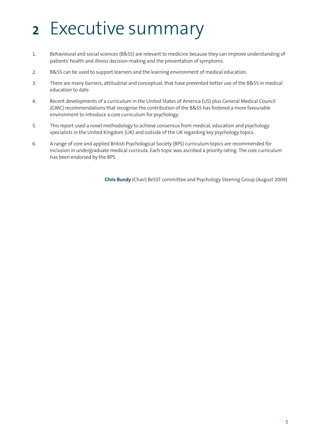# **<sup>2</sup>** Executive summary

- 1. Behavioural and social sciences (B&SS) are relevant to medicine because they can improve understanding of patients' health and illness decision-making and the presentation of symptoms.
- 2. B&SS can be used to support learners and the learning environment of medical education.
- 3. There are many barriers, attitudinal and conceptual, that have prevented better use of the B&SS in medical education to date.
- 4. Recent developments of a curriculum in the United States of America (US) plus General Medical Council (GMC) recommendations that recognise the contribution of the B&SS has fostered a more favourable environment to introduce a core curriculum for psychology.
- 5. This report used a novel methodology to achieve consensus from medical, education and psychology specialists in the United Kingdom (UK) and outside of the UK regarding key psychology topics.
- 6. A range of core and applied British Psychological Society (BPS) curriculum topics are recommended for inclusion in undergraduate medical curricula. Each topic was ascribed a priority rating. The core curriculum has been endorsed by the BPS.

**Chris Bundy** (Chair) BeSST committee and Psychology Steering Group (August 2009).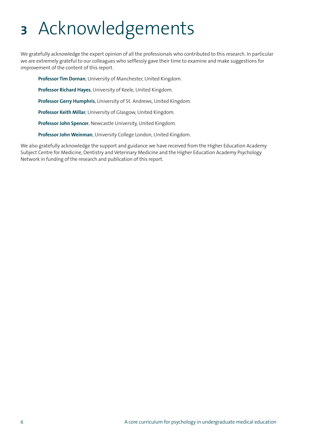# **<sup>3</sup>** Acknowledgements

We gratefully acknowledge the expert opinion of all the professionals who contributed to this research. In particular we are extremely grateful to our colleagues who selflessly gave their time to examine and make suggestions for improvement of the content of this report.

**Professor Tim Dornan**, University of Manchester, United Kingdom.

**Professor Richard Hayes**, University of Keele, United Kingdom.

**Professor Gerry Humphris**, University of St. Andrews, United Kingdom.

**Professor Keith Millar**, University of Glasgow, United Kingdom.

**Professor John Spencer**, Newcastle University, United Kingdom.

**Professor John Weinman**, University College London, United Kingdom.

We also gratefully acknowledge the support and guidance we have received from the Higher Education Academy Subject Centre for Medicine, Dentistry and Veterinary Medicine and the Higher Education Academy Psychology Network in funding of the research and publication of this report.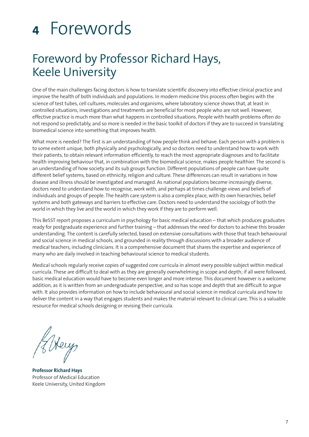# **<sup>4</sup>** Forewords

## Foreword by Professor Richard Hays, Keele University

One of the main challenges facing doctors is how to translate scientific discovery into effective clinical practice and improve the health of both individuals and populations. In modern medicine this process often begins with the science of test tubes, cell cultures, molecules and organisms, where laboratory science shows that, at least in controlled situations, investigations and treatments are beneficial for most people who are not well. However, effective practice is much more than what happens in controlled situations. People with health problems often do not respond so predictably, and so more is needed in the basic toolkit of doctors if they are to succeed in translating biomedical science into something that improves health.

What more is needed? The first is an understanding of how people think and behave. Each person with a problem is to some extent unique, both physically and psychologically, and so doctors need to understand how to work with their patients, to obtain relevant information efficiently, to reach the most appropriate diagnoses and to facilitate health improving behaviour that, in combination with the biomedical science, makes people healthier. The second is an understanding of how society and its sub groups function. Different populations of people can have quite different belief systems, based on ethnicity, religion and culture. These differences can result in variations in how disease and illness should be investigated and managed. As national populations become increasingly diverse, doctors need to understand how to recognise, work with, and perhaps at times challenge views and beliefs of individuals and groups of people. The health care system is also a complex place, with its own hierarchies, belief systems and both gateways and barriers to effective care. Doctors need to understand the sociology of both the world in which they live and the world in which they work if they are to perform well.

This BeSST report proposes a curriculum in psychology for basic medical education – that which produces graduates ready for postgraduate experience and further training – that addresses the need for doctors to achieve this broader understanding. The content is carefully selected, based on extensive consultations with those that teach behavioural and social science in medical schools, and grounded in reality through discussions with a broader audience of medical teachers, including clinicians. It is a comprehensive document that shares the expertise and experience of many who are daily involved in teaching behavioural science to medical students.

Medical schools regularly receive copies of suggested core curricula in almost every possible subject within medical curricula. These are difficult to deal with as they are generally overwhelming in scope and depth; if all were followed, basic medical education would have to become even longer and more intense. This document however is a welcome addition, as it is written from an undergraduate perspective, and so has scope and depth that are difficult to argue with. It also provides information on how to include behavioural and social science in medical curricula and how to deliver the content in a way that engages students and makes the material relevant to clinical care. This is a valuable resource for medical schools designing or revising their curricula.

H Hery

**Professor Richard Hays** Professor of Medical Education Keele University, United Kingdom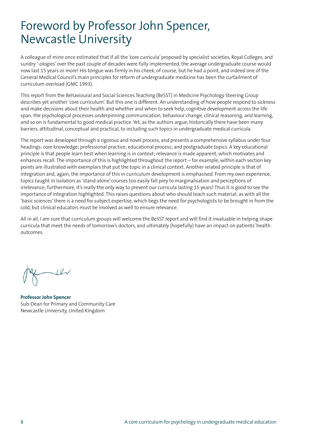## Foreword by Professor John Spencer, Newcastle University

A colleague of mine once estimated that if all the 'core curricula'proposed by specialist societies, Royal Colleges, and sundry '-ologies'over the past couple of decades were fully implemented, the average undergraduate course would now last 15 years or more! His tongue was firmly in his cheek, of course, but he had a point, and indeed one of the General Medical Council's main principles for reform of undergraduate medicine has been the curtailment of curriculum overload (GMC 1993).

This report from the Behavioural and Social Sciences Teaching (BeSST) in Medicine Psychology Steering Group describes yet another 'core curriculum'. But this one is different. An understanding of how people respond to sickness and make decisions about their health and whether and when to seek help, cognitive development across the life span, the psychological processes underpinning communication, behaviour change, clinical reasoning, and learning, and so on is fundamental to good medical practice. Yet, as the authors argue, historically there have been many barriers, attitudinal, conceptual and practical, to including such topics in undergraduate medical curricula.

The report was developed through a rigorous and novel process, and presents a comprehensive syllabus under four headings: core knowledge; professional practice; educational process; and postgraduate topics. A key educational principle is that people learn best when learning is in context; relevance is made apparent, which motivates and enhances recall. The importance of this is highlighted throughout the report – for example, within each section key points are illustrated with exemplars that put the topic in a clinical context. Another related principle is that of integration and, again, the importance of this in curriculum development is emphasised. From my own experience, topics taught in isolation as 'stand-alone' courses too easily fall prey to marginalisation and perceptions of irrelevance; furthermore, it's really the only way to prevent our curricula lasting 15 years! Thus it is good to see the importance of integration highlighted. This raises questions about who should teach such material; as with all the 'basic sciences'there is a need for subject expertise, which begs the need for psychologists to be brought in from the cold, but clinical educators must be involved as well to ensure relevance.

All in all, I am sure that curriculum groups will welcome the BeSST report and will find it invaluable in helping shape curricula that meet the needs of tomorrow's doctors, and ultimately (hopefully) have an impact on patients'health outcomes.

 $\mu$ 

**Professor John Spencer** Sub-Dean for Primary and Community Care Newcastle University, United Kingdom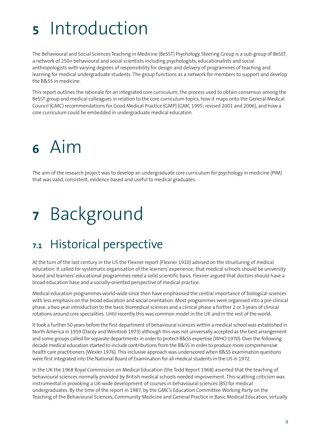# **<sup>5</sup>** Introduction

The Behavioural and Social Sciences Teaching in Medicine (BeSST) Psychology Steering Group is a sub-group of BeSST, a network of 250+ behavioural and social scientists including psychologists, educationalists and social anthropologists with varying degrees of responsibility for design and delivery of programmes of teaching and learning for medical undergraduate students. The group functions as a network for members to support and develop the B&SS in medicine.

This report outlines the rationale for an integrated core curriculum; the process used to obtain consensus among the BeSST group and medical colleagues in relation to the core curriculum topics, how it maps onto the General Medical Council (GMC) recommendations for Good Medical Practice (GMP) (GMC 1995; revised 2001 and 2006), and how a core curriculum could be embedded in undergraduate medical education.

# **<sup>6</sup>** Aim

The aim of the research project was to develop an undergraduate core curriculum for psychology in medicine (PIM) that was valid, consistent, evidence based and useful to medical graduates.

# **<sup>7</sup>** Background

## **7.1** Historical perspective

At the turn of the last century in the US the Flexner report (Flexner 1910) advised on the structuring of medical education. It called for systematic organisation of the learners'experience; that medical schools should be university based and learners'educational programmes need a solid scientific basis. Flexner argued that doctors should have a broad education base and a socially-oriented perspective of medical practice.

Medical education programmes world-wide since then have emphasised the central importance of biological sciences with less emphasis on the broad education and social orientation. Most programmes were organised into a pre-clinical phase, a two year introduction to the basic biomedical sciences and a clinical phase a further 2 or 3 years of clinical rotations around core specialities. Until recently this was common model in the UK and in the rest of the world.

It took a further 50 years before the first department of behavioural sciences within a medical school was established in North America in 1959 (Dacey and Weintrob 1973) although this was not universally accepted as the best arrangement and some groups called for separate departments in order to protect B&SS expertise (WHO 1970). Over the following decade medical education started to include contributions from the B&SS in orderto produce more comprehensive health care practitioners (Wexler 1976). This inclusive approach was underscored when B&SS examination questions were first integrated into the National Board of Examination for all medical students in the US in 1972.

In the UK the 1968 Royal Commission on Medical Education (the Todd Report 1968) asserted that the teaching of behavioural sciences normally provided by British medical schools needed improvement. This scathing criticism was instrumental in provoking a UK-wide development of courses in behavioural sciences (BS) for medical undergraduates. By the time of the report in 1987, by the GMC's Education Committee Working Party on the Teaching of the Behavioural Sciences, Community Medicine and General Practice in Basic Medical Education, virtually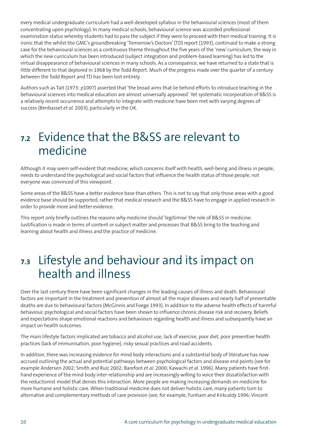every medical undergraduate curriculum had a well-developed syllabus in the behavioural sciences (most of them concentrating upon psychology). In many medical schools, behavioural science was accorded professional examination status whereby students had to pass the subject if they were to proceed with their medical training. It is ironic that the whilst the GMC's groundbreaking 'Tomorrow's Doctors'(TD) report (1993), continued to make a strong case for the behavioural sciences as a continuous theme throughout the five years of the 'new' curriculum, the way in which the new curriculum has been introduced (subject integration and problem-based learning) has led to the virtual disappearance of behavioural sciences in many schools. As a consequence, we have returned to a state that is little different to that deplored in 1968 by the Todd Report. Much of the progress made over the quarter of a century between the Todd Report and TD has been lost entirely.

Authors such as Tait (1973; p1007) asserted that 'the broad aims that lie behind efforts to introduce teaching in the behavioural sciences into medical education are almost universally approved'. Yet systematic incorporation of B&SS is a relatively recent occurrence and attempts to integrate with medicine have been met with varying degrees of success (Benbasset *et al.* 2003), particularly in the UK.

### **7.2** Evidence that the B&SS are relevant to medicine

Although it may seem self-evident that medicine, which concerns itself with health, well-being and illness in people, needs to understand the psychological and social factors that influence the health status of those people, not everyone was convinced of this viewpoint.

Some areas of the B&SS have a better evidence base than others. This is not to say that only those areas with a good evidence base should be supported, rather that medical research and the B&SS have to engage in applied research in order to provide more and better evidence.

This report only briefly outlines the reasons why medicine should 'legitimise'the role of B&SS in medicine. Justification is made in terms of content or subject matter and processes that B&SS bring to the teaching and learning about health and illness and the practice of medicine.

### **7.3** Lifestyle and behaviour and its impact on health and illness

Over the last century there have been significant changes in the leading causes of illness and death. Behavioural factors are important in the treatment and prevention of almost all the major diseases and nearly half of preventable deaths are due to behavioural factors (McGinnis and Foege 1993). In addition to the adverse health effects of harmful behaviour, psychological and social factors have been shown to influence chronic disease risk and recovery. Beliefs and expectations shape emotional reactions and behaviours regarding health and illness and subsequently have an impact on health outcomes.

The main lifestyle factors implicated are tobacco and alcohol use, lack of exercise, poor diet, poor preventive health practices (lack of immunisation, poor hygiene), risky sexual practices and road accidents.

In addition, there was increasing evidence for mind body interactions and a substantial body of literature has now accrued outlining the actual and potential pathways between psychological factors and disease end points (see for example Andersen 2002; Smith and Ruiz 2002; Barefoot *et al.* 2000; Kawachi *et al.* 1996). Many patients have firsthand experience of the mind body inter-relationship and are increasingly willing to voice their dissatisfaction with the reductionist model that denies this interaction. More people are making increasing demands on medicine for more humane and holistic care. When traditional medicine does not deliver holistic care, many patients turn to alternative and complementary methods of care provision (see, for example, Funham and Kirkcaldy 1996; Vincent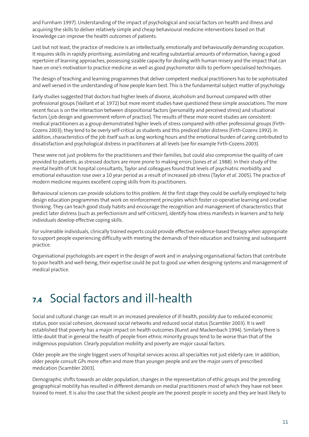and Furnham 1997). Understanding of the impact of psychological and social factors on health and illness and acquiring the skills to deliver relatively simple and cheap behavioural medicine interventions based on that knowledge can improve the health outcomes of patients.

Last but not least, the practice of medicine is an intellectually, emotionally and behaviourally demanding occupation. It requires skills in rapidly prioritising, assimilating and recalling substantial amounts of information, having a good repertoire of learning approaches, possessing sizable capacity for dealing with human misery and the impact that can have on one's motivation to practice medicine as well as good psychomotor skills to perform specialised techniques.

The design of teaching and learning programmes that deliver competent medical practitioners has to be sophisticated and well versed in the understanding of how people learn best. This is the fundamental subject matter of psychology.

Early studies suggested that doctors had higher levels of divorce, alcoholism and burnout compared with other professional groups (Vaillant *et al.* 1972) but more recent studies have questioned these simple associations. The more recent focus is on the interaction between dispositional factors (personality and perceived stress) and situational factors (job design and government reform of practice). The results of these more recent studies are consistent: medical practitioners as a group demonstrated higher levels of stress compared with other professional groups (Firth-Cozens 2003); they tend to be overly self-critical as students and this prediced later distress (Firth-Cozens 1992). In addition, characteristics of the job itself such as long working hours and the emotional burden of caring contributed to dissatisfaction and psychological distress in practitioners at all levels (see for example Firth-Cozens 2003).

These were not just problems for the practitioners and their families, but could also compromise the quality of care provided to patients, as stressed doctors are more prone to making errors (Jones *et al.* 1988). In their study of the mental health of UK hospital consultants, Taylor and colleagues found that levels of psychiatric morbidity and emotional exhaustion rose over a 10 year period as a result of increased job stress (Taylor *et al.* 2005). The practice of modern medicine requires excellent coping skills from its practitioners.

Behavioural sciences can provide solutions to this problem. At the first stage they could be usefully employed to help design education programmes that work on reinforcement principles which foster co-operative learning and creative thinking. They can teach good study habits and encourage the recognition and management of characteristics that predict later distress (such as perfectionism and self-criticism), identify how stress manifests in learners and to help individuals develop effective coping skills.

For vulnerable individuals, clinically trained experts could provide effective evidence-based therapy when appropriate to support people experiencing difficulty with meeting the demands of their education and training and subsequent practice.

Organisational psychologists are expert in the design of work and in analysing organisational factors that contribute to poor health and well-being, their expertise could be put to good use when designing systems and management of medical practice.

## **7.4** Social factors and ill-health

Social and cultural change can result in an increased prevalence of ill health, possibly due to reduced economic status, poor social cohesion, decreased social networks and reduced social status (Scambler 2003). It is well established that poverty has a major impact on health outcomes (Kunst and Mackenbach 1994). Similarly there is little doubt that in general the health of people from ethnic minority groups tend to be worse than that of the indigenous population. Clearly population mobility and poverty are major causal factors.

Older people are the single biggest users of hospital services across all specialties not just elderly care. In addition, older people consult GPs more often and more than younger people and are the major users of prescribed medication (Scambler 2003).

Demographic shifts towards an older population, changes in the representation of ethic groups and the preceding geographical mobility has resulted in different demands on medial practitioners most of which they have not been trained to meet. It is also the case that the sickest people are the poorest people in society and they are least likely to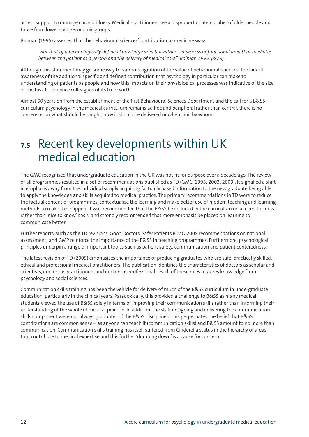access support to manage chronic illness. Medical practitioners see a disproportionate number of older people and those from lower socio-economic groups.

Bolman (1995) asserted that the behavioural sciences' contribution to medicine was:

"not that of a technologically defined knowledge area but rather ... a process or functional area that mediates *between the patient as a person and the delivery of medical care" (Bolman 1995, p878).*

Although this statement may go some way towards recognition of the value of behavioural sciences, the lack of awareness of the additional specific and defined contribution that psychology in particular can make to understanding of patients as people and how this impacts on their physiological processes was indicative of the size of the task to convince colleagues of its true worth.

Almost 50 years on from the establishment of the first Behavioural Sciences Department and the call for a B&SS curriculum psychology in the medical curriculum remains ad hoc and peripheral rather than central, there is no consensus on what should be taught, how it should be delivered or when, and by whom.

## **7.5** Recent key developments within UK medical education

The GMC recognised that undergraduate education in the UK was not fit for purpose over a decade ago. The review of all programmes resulted in a set of recommendations published as TD (GMC, 1993; 2003; 2009). It signalled a shift in emphasis away from the individual simply acquiring factually based information to the new graduate being able to apply the knowledge and skills acquired to medical practice. The primary recommendations in TD were to reduce the factual content of programmes, contextualise the learning and make better use of modern teaching and learning methods to make this happen. It was recommended that the B&SS be included in the curriculum on a 'need to know' rather than 'nice to know'basis, and strongly recommended that more emphasis be placed on learning to communicate better.

Further reports, such as the TD revisions, Good Doctors, Safer Patients (CMO 2008 recommendations on national assessment) and GMP reinforce the importance of the B&SS in teaching programmes. Furthermore, psychological principles underpin a range of important topics such as patient safety, communication and patient centeredness.

The latest revision of TD (2009) emphasises the importance of producing graduates who are safe, practically skilled, ethical and professional medical practitioners. The publication identifies the characteristics of doctors as scholar and scientists, doctors as practitioners and doctors as professionals. Each of these roles requires knowledge from psychology and social sciences.

Communication skills training has been the vehicle for delivery of much of the B&SS curriculum in undergraduate education, particularly in the clinical years. Paradoxically, this provided a challenge to B&SS as many medical students viewed the use of B&SS solely in terms of improving their communication skills rather than informing their understanding of the whole of medical practice. In addition, the staff designing and delivering the communication skills component were not always graduates of the B&SS disciplines. This perpetuates the belief that B&SS contributions are common sense – as anyone can teach it (communication skills) and B&SS amount to no more than communication. Communication skills training has itself suffered from Cinderella status in the hierarchy of areas that contribute to medical expertise and this further 'dumbing down'is a cause for concern.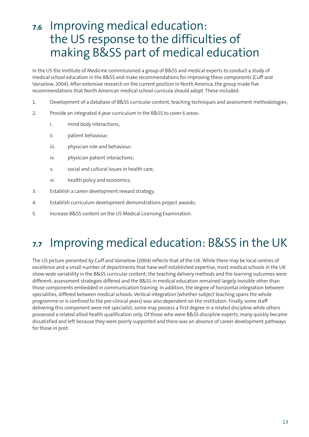## **7.6** Improving medical education: the US response to the difficulties of making B&SS part of medical education

In the US the Institute of Medicine commissioned a group of B&SS and medical experts to conduct a study of medical school education in the B&SS and make recommendations for improving these components (Cuff and Vanselow, 2004). After extensive research on the current position in North America, the group made five recommendations that North American medical school curricula should adopt. These included:

- 1. Development of a database of B&SS curricular content, teaching techniques and assessment methodologies;
- 2. Provide an integrated 4 year curriculum in the B&SS to cover 6 areas:
	- i. mind body interactions;
	- ii. patient behaviour;
	- iii. physician role and behaviour;
	- iv. physician patient interactions;
	- v. social and cultural issues in health care;
	- vi. health policy and economics;
- 3. Establish a career development reward strategy;
- 4. Establish curriculum development demonstrations project awards;
- 5. Increase B&SS content on the US Medical Licensing Examination.

## **7.7** Improving medical education: B&SS in the UK

The US picture presented by Cuff and Vanselow (2004) reflects that of the UK. While there may be local centres of excellence and a small number of departments that have well established expertise, most medical schools in the UK show wide variability in the B&SS curricular content; the teaching delivery methods and the learning outcomes were different; assessment strategies differed and the B&SS in medical education remained largely invisible other than those components embedded in communication training. In addition, the degree of horizontal integration between specialities, differed between medical schools. Vertical integration (whether subject teaching spans the whole programme or is confined to the pre-clinical years) was also dependent on the institution. Finally, some staff delivering this component were not specialist; some may possess a first degree in a related discipline while others possessed a related allied health qualification only. Of those who were B&SS discipline experts, many quickly became dissatisfied and left because they were poorly supported and there was an absence of career development pathways for those in post.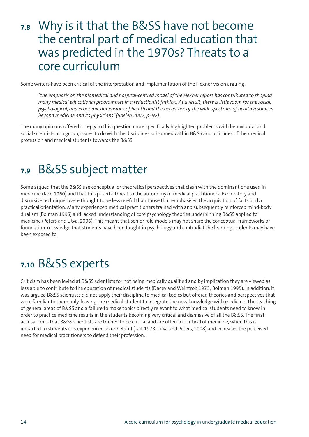### **7.8** Why is it that the B&SS have not become the central part of medical education that was predicted in the 1970s? Threats to a core curriculum

Some writers have been critical of the interpretation and implementation of the Flexner vision arguing:

*"the emphasis on the biomedical and hospital-centred model of the Flexner report has contributed to shaping* many medical educational programmes in a reductionist fashion. As a result, there is little room for the social, psychological, and economic dimensions of health and the better use of the wide spectrum of health resources *beyond medicine and its physicians" (Boelen 2002, p592).*

The many opinions offered in reply to this question more specifically highlighted problems with behavioural and social scientists as a group, issues to do with the disciplines subsumed within B&SS and attitudes of the medical profession and medical students towards the B&SS.

### **7.9** B&SS subject matter

Some argued that the B&SS use conceptual or theoretical perspectives that clash with the dominant one used in medicine (Jaco 1960) and that this posed a threat to the autonomy of medical practitioners. Exploratory and discursive techniques were thought to be less useful than those that emphasised the acquisition of facts and a practical orientation. Many experienced medical practitioners trained with and subsequently reinforced mind-body dualism (Bolman 1995) and lacked understanding of core psychology theories underpinning B&SS applied to medicine (Peters and Litva, 2006). This meant that senior role models may not share the conceptual frameworks or foundation knowledge that students have been taught in psychology and contradict the learning students may have been exposed to.

## **7.10** B&SS experts

Criticism has been levied at B&SS scientists for not being medically qualified and by implication they are viewed as less able to contribute to the education of medical students (Dacey and Weintrob 1973; Bolman 1995). In addition, it was argued B&SS scientists did not apply their discipline to medical topics but offered theories and perspectives that were familiar to them only, leaving the medical student to integrate the new knowledge with medicine. The teaching of general areas of B&SS and a failure to make topics directly relevant to what medical students need to know in order to practice medicine results in the students becoming very critical and dismissive of all the B&SS. The final accusation is that B&SS scientists are trained to be critical and are often too critical of medicine, when this is imparted to students it is experienced as unhelpful (Tait 1973; Litva and Peters, 2008) and increases the perceived need for medical practitioners to defend their profession.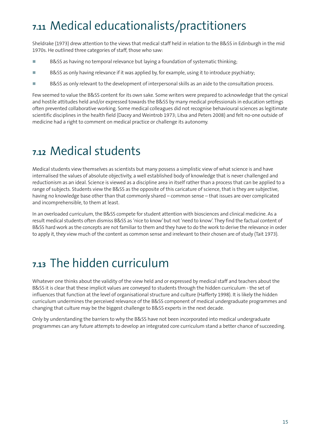# **7.11** Medical educationalists/practitioners

Sheldrake (1973) drew attention to the views that medical staff held in relation to the B&SS in Edinburgh in the mid 1970s. He outlined three categories of staff, those who saw:

- **-**B&SS as having no temporal relevance but laying a foundation of systematic thinking;
- **-**B&SS as only having relevance if it was applied by, for example, using it to introduce psychiatry;
- **-**B&SS as only relevant to the development of interpersonal skills as an aide to the consultation process.

Few seemed to value the B&SS content for its own sake. Some writers were prepared to acknowledge that the cynical and hostile attitudes held and/or expressed towards the B&SS by many medical professionals in education settings often prevented collaborative working. Some medical colleagues did not recognise behavioural sciences as legitimate scientific disciplines in the health field (Dacey and Weintrob 1973; Litva and Peters 2008) and felt no-one outside of medicine had a right to comment on medical practice or challenge its autonomy.

### **7.12** Medical students

Medical students view themselves as scientists but many possess a simplistic view of what science is and have internalised the values of absolute objectivity, a well established body of knowledge that is never challenged and reductionism as an ideal. Science is viewed as a discipline area in itself rather than a process that can be applied to a range of subjects. Students view the B&SS as the opposite of this caricature of science, that is they are subjective, having no knowledge base other than that commonly shared – common sense – that issues are over complicated and incomprehensible, to them at least.

In an overloaded curriculum, the B&SS compete for student attention with biosciences and clinical medicine. As a result medical students often dismiss B&SS as 'nice to know'but not 'need to know'. They find the factual content of B&SS hard work as the concepts are not familiar to them and they have to do the work to derive the relevance in order to apply it, they view much of the content as common sense and irrelevant to their chosen are of study (Tait 1973).

## **7.13** The hidden curriculum

Whatever one thinks about the validity of the view held and or expressed by medical staff and teachers about the B&SS it is clear that these implicit values are conveyed to students through the hidden curriculum - the set of influences that function at the level of organisational structure and culture (Hafferty 1998). It is likely the hidden curriculum undermines the perceived relevance of the B&SS component of medical undergraduate programmes and changing that culture may be the biggest challenge to B&SS experts in the next decade.

Only by understanding the barriers to why the B&SS have not been incorporated into medical undergraduate programmes can any future attempts to develop an integrated core curriculum stand a better chance of succeeding.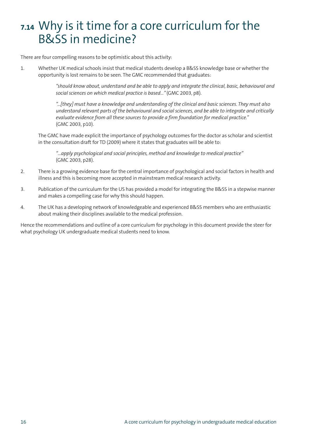## **7.14** Why is it time for a core curriculum for the B&SS in medicine?

There are four compelling reasons to be optimistic about this activity:

1. Whether UK medical schools insist that medical students develop a B&SS knowledge base or whether the opportunity is lost remains to be seen. The GMC recommended that graduates:

> *"should know about, understand and be able to apply and integrate the clinical, basic, behavioural and social sciences on which medical practice is based…"* (GMC 2003, p8).

> *"...[they] must have a knowledge and understanding of the clinical and basic sciences. They must also understand relevant parts of the behavioural and social sciences, and be able to integrate and critically evaluate evidence from all these sources to provide a firm foundation for medical practice."* (GMC 2003, p10).

The GMC have made explicit the importance of psychology outcomes for the doctor as scholar and scientist in the consultation draft for TD (2009) where it states that graduates will be able to:

*"…apply psychological and social principles, method and knowledge to medical practice"* (GMC 2003, p28).

- 2. There is a growing evidence base for the central importance of psychological and social factors in health and illness and this is becoming more accepted in mainstream medical research activity.
- 3. Publication of the curriculum for the US has provided a model for integrating the B&SS in a stepwise manner and makes a compelling case for why this should happen.
- 4. The UK has a developing network of knowledgeable and experienced B&SS members who are enthusiastic about making their disciplines available to the medical profession.

Hence the recommendations and outline of a core curriculum for psychology in this document provide the steer for what psychology UK undergraduate medical students need to know.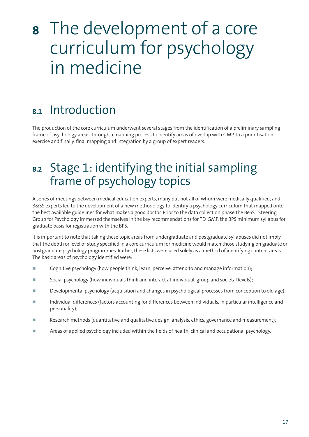# **<sup>8</sup>** The development of a core curriculum for psychology in medicine

## **8.1** Introduction

The production of the core curriculum underwent several stages from the identification of a preliminary sampling frame of psychology areas, through a mapping process to identify areas of overlap with GMP, to a prioritisation exercise and finally, final mapping and integration by a group of expert readers.

## **8.2** Stage 1: identifying the initial sampling frame of psychology topics

A series of meetings between medical education experts, many but not all of whom were medically qualified, and B&SS experts led to the development of a new methodology to identify a psychology curriculum that mapped onto the best available guidelines for what makes a good doctor. Prior to the data collection phase the BeSST Steering Group for Psychology immersed themselves in the key recommendations for TD, GMP, the BPS minimum syllabus for graduate basis for registration with the BPS.

It is important to note that taking these topic areas from undergraduate and postgraduate syllabuses did not imply that the depth or level of study specified in a core curriculum for medicine would match those studying on graduate or postgraduate psychology programmes. Rather, these lists were used solely as a method of identifying content areas. The basic areas of psychology identified were:

- **-**Cognitive psychology (how people think, learn, perceive, attend to and manage information);
- **-**Social psychology (how individuals think and interact at individual, group and societal levels);
- **-**Developmental psychology (acquisition and changes in psychological processes from conception to old age);
- **-** Individual differences (factors accounting for differences between individuals, in particular intelligence and personality);
- **-**Research methods (quantitative and qualitative design, analysis, ethics, governance and measurement);
- **-**Areas of applied psychology included within the fields of health, clinical and occupational psychology.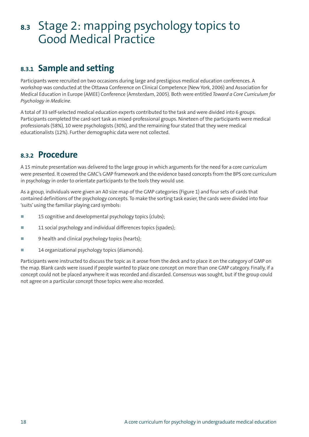### **8.3** Stage 2: mapping psychology topics to Good Medical Practice

### **8.3.1 Sample and setting**

Participants were recruited on two occasions during large and prestigious medical education conferences. A workshop was conducted at the Ottawa Conference on Clinical Competence (New York, 2006) and Association for Medical Education in Europe (AMEE) Conference (Amsterdam, 2005). Both were entitled *Toward a Core Curriculum for Psychology in Medicine.*

A total of 33 self-selected medical education experts contributed to the task and were divided into 6 groups. Participants completed the card-sort task as mixed-professional groups. Nineteen of the participants were medical professionals (58%), 10 were psychologists (30%), and the remaining four stated that they were medical educationalists (12%). Further demographic data were not collected.

### **8.3.2 Procedure**

A 15 minute presentation was delivered to the large group in which arguments for the need for a core curriculum were presented. It covered the GMC's GMP framework and the evidence based concepts from the BPS core curriculum in psychology in order to orientate participants to the tools they would use.

As a group, individuals were given an A0 size map of the GMP categories (Figure 1) and four sets of cards that contained definitions of the psychology concepts. To make the sorting task easier, the cards were divided into four 'suits'using the familiar playing card symbols:

- **-**15 cognitive and developmental psychology topics (clubs);
- **-**11 social psychology and individual differences topics (spades);
- **-**9 health and clinical psychology topics (hearts);
- **-**14 organizational psychology topics (diamonds).

Participants were instructed to discuss the topic as it arose from the deck and to place it on the category of GMP on the map. Blank cards were issued if people wanted to place one concept on more than one GMP category. Finally, if a concept could not be placed anywhere it was recorded and discarded. Consensus was sought, but if the group could not agree on a particular concept those topics were also recorded.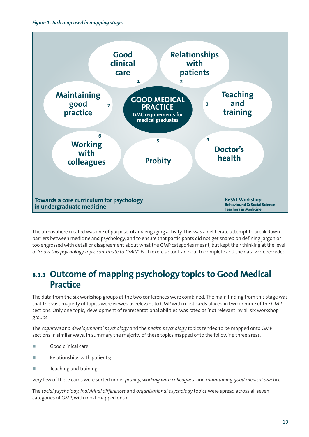

The atmosphere created was one of purposeful and engaging activity. This was a deliberate attempt to break down barriers between medicine and psychology, and to ensure that participants did not get snared on defining jargon or too engrossed with detail or disagreement about what the GMP categories meant, but kept their thinking at the level of *'could this psychology topic contribute to GMP?'.* Each exercise took an hour to complete and the data were recorded.

### **8.3.3 Outcome of mapping psychology topics to Good Medical Practice**

The data from the six workshop groups at the two conferences were combined. The main finding from this stage was that the vast majority of topics were viewed as relevant to GMP with most cards placed in two or more of the GMP sections. Only one topic, 'development of representational abilities'was rated as 'not relevant'by all six workshop groups.

The *cognitive* and *developmental psychology* and the *health psychology* topics tended to be mapped onto GMP sections in similar ways. In summary the majority of these topics mapped onto the following three areas:

- **-**Good clinical care;
- **-**Relationships with patients;
- **-**Teaching and training.

Very few of these cards were sorted under *probity, working with colleagues*, and *maintaining good medical practice*.

The *social psychology, individual differences* and *organisational psychology* topics were spread across all seven categories of GMP, with most mapped onto: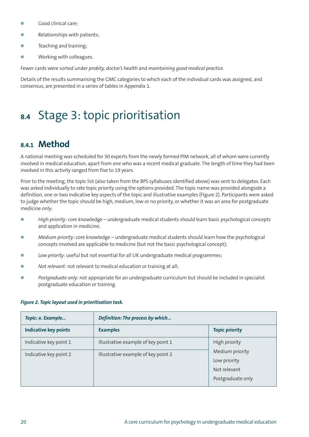- **-**Good clinical care;
- **-**Relationships with patients;
- **-**Teaching and training;
- **-**Working with colleagues.

Fewer cards were sorted under *probity, doctor's health* and *maintaining good medical practice*.

Details of the results summarising the GMC categories to which each of the individual cards was assigned, and consensus, are presented in a series of tables in Appendix 1.

## **8.4** Stage 3: topic prioritisation

### **8.4.1 Method**

A national meeting was scheduled for 30 experts from the newly formed PIM network, all of whom were currently involved in medical education, apart from one who was a recent medical graduate. The length of time they had been involved in this activity ranged from five to 19 years.

Prior to the meeting, the topic list (also taken from the BPS syllabuses identified above) was sent to delegates. Each was asked individually to rate topic priority using the options provided. The topic name was provided alongside a definition, one or two indicative key aspects of the topic and illustrative examples (Figure 2). Participants were asked to judge whether the topic should be high, medium, low or no priority, or whether it was an area for postgraduate medicine only:

- **-** *High priority*: core knowledge – undergraduate medical students should learn basic psychological concepts and application in medicine;
- **-** *Medium priority*: core knowledge – undergraduate medical students should learn how the psychological concepts involved are applicable to medicine (but not the basic psychological concept);
- **-***Low priority:* useful but not essential for all UK undergraduate medical programmes;
- **-***Not relevant:* not relevant to medical education or training at all;
- **-** *Postgraduate only:* not appropriate for an undergraduate curriculum but should be included in specialist postgraduate education or training.

| Topic: x. Example            | Definition: The process by which    |                                                                      |
|------------------------------|-------------------------------------|----------------------------------------------------------------------|
| <b>Indicative key points</b> | <b>Examples</b>                     | <b>Topic priority</b>                                                |
| Indicative key point 1       | Illustrative example of key point 1 | High priority                                                        |
| Indicative key point 2       | Illustrative example of key point 2 | Medium priority<br>Low priority<br>Not relevant<br>Postgraduate only |

#### *Figure 2. Topic layout used in prioritisation task.*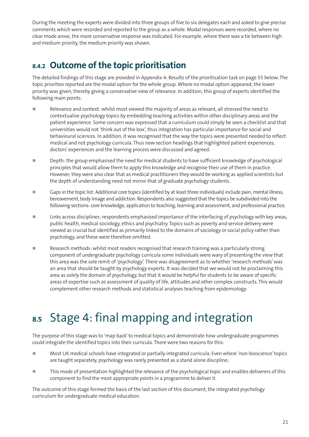During the meeting the experts were divided into three groups of five to six delegates each and asked to give precise comments which were recorded and reported to the group as a whole. Modal responses were recorded, where no clear mode arose, the more conservative response was indicated. For example, where there was a tie between high and medium priority, the medium priority was shown.

### **8.4.2 Outcome of the topic prioritisation**

The detailed findings of this stage are provided in Appendix 4: Results of the prioritisation task on page 55 below. The topic priorities reported are the modal option for the whole group. Where no modal option appeared, the lower priority was given, thereby giving a conservative view of relevance. In addition, this group of experts identified the following main points:

- **-** Relevance and context: whilst most viewed the majority of areas as relevant, all stressed the need to contextualise psychology topics by embedding teaching activities within other disciplinary areas and the patient experience. Some concern was expressed that a curriculum could simply be seen a checklist and that universities would not 'think out of the box', thus integration has particular importance for social and behavioural sciences. In addition, it was recognised that the way the topics were presented needed to reflect medical and not psychology curricula. Thus new section headings that highlighted patient experiences, doctors'experiences and the learning process were discussed and agreed.
- **-** Depth: the group emphasised the need for medical students to have sufficient knowledge of psychological principles that would allow them to apply this knowledge and recognise their use of them in practice. However, they were also clear that as medical practitioners they would be working as applied scientists but the depth of understanding need not mirror that of graduate psychology students.
- **-**Gaps in the topic list: Additional core topics (identified by at least three individuals) include pain, mental illness, bereavement, body image and addiction. Respondents also suggested that the topics be subdivided into the following sections: core knowledge, application to teaching, learning and assessment, and professional practice.
- **-** Links across disciplines: respondents emphasised importance of the interfacing of psychology with key areas, public health, medical sociology, ethics and psychiatry. Topics such as poverty and service delivery were viewed as crucial but identified as primarily linked to the domains of sociology or social policy rather than psychology, and these were therefore omitted.
- **-** Research methods: whilst most readers recognised that research training was a particularly strong component of undergraduate psychology curricula some individuals were wary of presenting the view that this area was the sole remit of 'psychology'. There was disagreement as to whether 'research methods'was an area that should be taught by psychology experts. It was decided that we would not be proclaiming this area as solely the domain of psychology, but that it would be helpful for students to be aware of specific areas of expertise such as assessment of quality of life, attitudes and other complex constructs. This would complement other research methods and statistical analyses teaching from epidemiology.

# **8.5** Stage 4: final mapping and integration

The purpose of this stage was to 'map back'to medical topics and demonstrate how undergraduate programmes could integrate the identified topics into their curricula. There were two reasons for this:

- **-** Most UK medical schools have integrated or partially integrated curricula. Even where 'non-bioscience'topics are taught separately, psychology was rarely presented as a stand alone discipline;
- **-** This mode of presentation highlighted the relevance of the psychological topic and enables deliverers of this component to find the most appropriate points in a programme to deliver it.

The outcome of this stage formed the basis of the last section of this document, the integrated psychology curriculum for undergraduate medical education.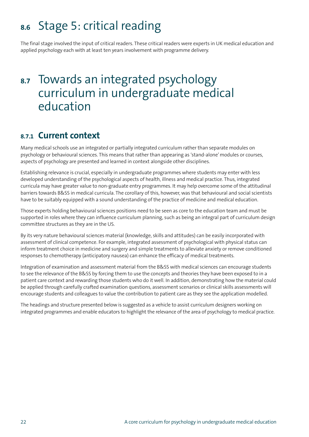## **8.6** Stage 5: critical reading

The final stage involved the input of critical readers. These critical readers were experts in UK medical education and applied psychology each with at least ten years involvement with programme delivery.

### **8.7** Towards an integrated psychology curriculum in undergraduate medical education

### **8.7.1 Current context**

Many medical schools use an integrated or partially integrated curriculum rather than separate modules on psychology or behavioural sciences. This means that rather than appearing as 'stand-alone'modules or courses, aspects of psychology are presented and learned in context alongside other disciplines.

Establishing relevance is crucial, especially in undergraduate programmes where students may enter with less developed understanding of the psychological aspects of health, illness and medical practice. Thus, integrated curricula may have greater value to non-graduate entry programmes. It may help overcome some of the attitudinal barriers towards B&SS in medical curricula. The corollary of this, however, was that behavioural and social scientists have to be suitably equipped with a sound understanding of the practice of medicine and medical education.

Those experts holding behavioural sciences positions need to be seen as core to the education team and must be supported in roles where they can influence curriculum planning, such as being an integral part of curriculum design committee structures as they are in the US.

By its very nature behavioural sciences material (knowledge, skills and attitudes) can be easily incorporated with assessment of clinical competence. For example, integrated assessment of psychological with physical status can inform treatment choice in medicine and surgery and simple treatments to alleviate anxiety or remove conditioned responses to chemotherapy (anticipatory nausea) can enhance the efficacy of medical treatments.

Integration of examination and assessment material from the B&SS with medical sciences can encourage students to see the relevance of the B&SS by forcing them to use the concepts and theories they have been exposed to in a patient care context and rewarding those students who do it well. In addition, demonstrating how the material could be applied through carefully crafted examination questions, assessment scenarios or clinical skills assessments will encourage students and colleagues to value the contribution to patient care as they see the application modelled.

The headings and structure presented below is suggested as a vehicle to assist curriculum designers working on integrated programmes and enable educators to highlight the relevance of the area of psychology to medical practice.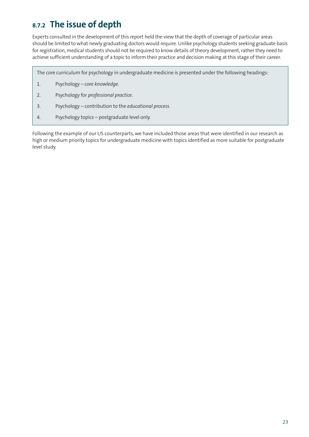### **8.7.2 The issue of depth**

Experts consulted in the development of this report held the view that the depth of coverage of particular areas should be limited to what newly graduating doctors would require. Unlike psychology students seeking graduate basis for registration, medical students should not be required to know details of theory development, rather they need to achieve sufficient understanding of a topic to inform their practice and decision making at this stage of their career.

The core curriculum for psychology in undergraduate medicine is presented under the following headings:

- 1. Psychology *core knowledge.*
- 2. Psychology for *professional practice*.
- 3. Psychology contribution to the *educational process*.
- 4. Psychology topics postgraduate level only.

Following the example of our US counterparts, we have included those areas that were identified in our research as high or medium priority topics for undergraduate medicine with topics identified as more suitable for postgraduate level study.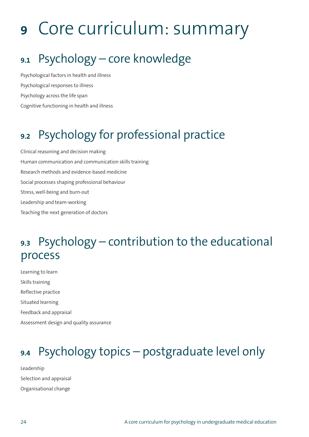# **<sup>9</sup>** Core curriculum: summary

# **9.1** Psychology – core knowledge

Psychological factors in health and illness Psychological responses to illness Psychology across the life span Cognitive functioning in health and illness

# **9.2** Psychology for professional practice

Clinical reasoning and decision making Human communication and communication skills training Research methods and evidence-based medicine Social processes shaping professional behaviour Stress, well-being and burn-out Leadership and team-working Teaching the next generation of doctors

## **9.3** Psychology – contribution to the educational process

Learning to learn Skills training Reflective practice Situated learning Feedback and appraisal Assessment design and quality assurance

## **9.4** Psychology topics – postgraduate level only

Leadership Selection and appraisal Organisational change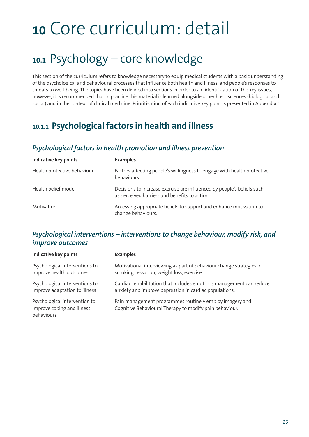# **<sup>10</sup>** Core curriculum: detail

## **10.1** Psychology – core knowledge

This section of the curriculum refers to knowledge necessary to equip medical students with a basic understanding of the psychological and behavioural processes that influence both health and illness, and people's responses to threats to well-being. The topics have been divided into sections in order to aid identification of the key issues, however, it is recommended that in practice this material is learned alongside other basic sciences (biological and social) and in the context of clinical medicine. Prioritisation of each indicative key point is presented in Appendix 1.

### **10.1.1 Psychological factors in health and illness**

#### *Psychological factors in health promotion and illness prevention*

| <b>Indicative key points</b> | <b>Examples</b>                                                                                                         |
|------------------------------|-------------------------------------------------------------------------------------------------------------------------|
| Health protective behaviour  | Factors affecting people's willingness to engage with health protective<br>behaviours.                                  |
| Health belief model          | Decisions to increase exercise are influenced by people's beliefs such<br>as perceived barriers and benefits to action. |
| Motivation                   | Accessing appropriate beliefs to support and enhance motivation to<br>change behaviours.                                |

#### *Psychological interventions – interventions to change behaviour, modify risk, and improve outcomes*

| <b>Indicative key points</b>                                              | <b>Examples</b>                                                                                                    |
|---------------------------------------------------------------------------|--------------------------------------------------------------------------------------------------------------------|
| Psychological interventions to                                            | Motivational interviewing as part of behaviour change strategies in                                                |
| improve health outcomes                                                   | smoking cessation, weight loss, exercise.                                                                          |
| Psychological interventions to                                            | Cardiac rehabilitation that includes emotions management can reduce                                                |
| improve adaptation to illness                                             | anxiety and improve depression in cardiac populations.                                                             |
| Psychological intervention to<br>improve coping and illness<br>behaviours | Pain management programmes routinely employ imagery and<br>Cognitive Behavioural Therapy to modify pain behaviour. |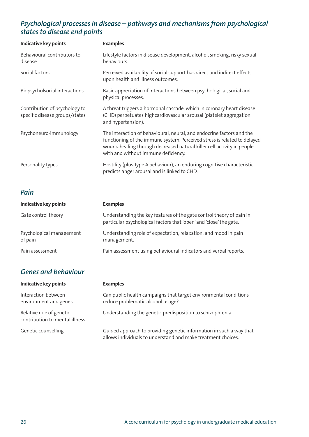#### *Psychological processes in disease – pathways and mechanisms from psychological states to disease end points*

| <b>Indicative key points</b>                                    | <b>Examples</b>                                                                                                                                                                                                                                                    |
|-----------------------------------------------------------------|--------------------------------------------------------------------------------------------------------------------------------------------------------------------------------------------------------------------------------------------------------------------|
| Behavioural contributors to<br>disease                          | Lifestyle factors in disease development, alcohol, smoking, risky sexual<br>behaviours.                                                                                                                                                                            |
| Social factors                                                  | Perceived availability of social support has direct and indirect effects<br>upon health and illness outcomes.                                                                                                                                                      |
| Biopsycholsocial interactions                                   | Basic appreciation of interactions between psychological, social and<br>physical processes.                                                                                                                                                                        |
| Contribution of psychology to<br>specific disease groups/states | A threat triggers a hormonal cascade, which in coronary heart disease<br>(CHD) perpetuates highcardiovascular arousal (platelet aggregation<br>and hypertension).                                                                                                  |
| Psychoneuro-immunology                                          | The interaction of behavioural, neural, and endocrine factors and the<br>functioning of the immune system. Perceived stress is related to delayed<br>wound healing through decreased natural killer cell activity in people<br>with and without immune deficiency. |
| Personality types                                               | Hostility (plus Type A behaviour), an enduring cognitive characteristic,<br>predicts anger arousal and is linked to CHD.                                                                                                                                           |
| Pain                                                            |                                                                                                                                                                                                                                                                    |

| Indicative key points               | <b>Examples</b>                                                                                                                            |
|-------------------------------------|--------------------------------------------------------------------------------------------------------------------------------------------|
| Gate control theory                 | Understanding the key features of the gate control theory of pain in<br>particular psychological factors that 'open' and 'close' the gate. |
| Psychological management<br>of pain | Understanding role of expectation, relaxation, and mood in pain<br>management.                                                             |
| Pain assessment                     | Pain assessment using behavioural indicators and verbal reports.                                                                           |

### *Genes and behaviour*

| <b>Indicative key points</b>                               | <b>Examples</b>                                                                                                                     |
|------------------------------------------------------------|-------------------------------------------------------------------------------------------------------------------------------------|
| Interaction between<br>environment and genes               | Can public health campaigns that target environmental conditions<br>reduce problematic alcohol usage?                               |
| Relative role of genetic<br>contribution to mental illness | Understanding the genetic predisposition to schizophrenia.                                                                          |
| Genetic counselling                                        | Guided approach to providing genetic information in such a way that<br>allows individuals to understand and make treatment choices. |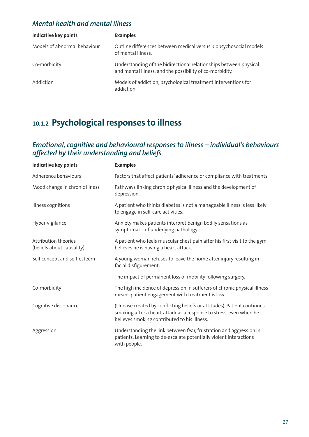#### *Mental health and mental illness*

| Indicative key points        | <b>Examples</b>                                                                                                               |
|------------------------------|-------------------------------------------------------------------------------------------------------------------------------|
| Models of abnormal behaviour | Outline differences between medical versus biopsychosocial models<br>of mental illness.                                       |
| Co-morbidity                 | Understanding of the bidirectional relationships between physical<br>and mental illness, and the possibility of co-morbidity. |
| Addiction                    | Models of addiction, psychological treatment interventions for<br>addiction.                                                  |

### **10.1.2 Psychological responses to illness**

#### *Emotional, cognitive and behavioural responses to illness – individual's behaviours affected by their understanding and beliefs*

| Indicative key points                             | <b>Examples</b>                                                                                                                                                                               |
|---------------------------------------------------|-----------------------------------------------------------------------------------------------------------------------------------------------------------------------------------------------|
| Adherence behaviours                              | Factors that affect patients' adherence or compliance with treatments.                                                                                                                        |
| Mood change in chronic illness                    | Pathways linking chronic physical illness and the development of<br>depression.                                                                                                               |
| Illness cognitions                                | A patient who thinks diabetes is not a manageable illness is less likely<br>to engage in self-care activities.                                                                                |
| Hyper-vigilance                                   | Anxiety makes patients interpret benign bodily sensations as<br>symptomatic of underlying pathology.                                                                                          |
| Attribution theories<br>(beliefs about causality) | A patient who feels muscular chest pain after his first visit to the gym<br>believes he is having a heart attack.                                                                             |
| Self concept and self-esteem                      | A young woman refuses to leave the home after injury resulting in<br>facial disfigurement.                                                                                                    |
|                                                   | The impact of permanent loss of mobility following surgery.                                                                                                                                   |
| Co-morbidity                                      | The high incidence of depression in sufferers of chronic physical illness<br>means patient engagement with treatment is low.                                                                  |
| Cognitive dissonance                              | (Unease created by conflicting beliefs or attitudes). Patient continues<br>smoking after a heart attack as a response to stress, even when he<br>believes smoking contributed to his illness. |
| Aggression                                        | Understanding the link between fear, frustration and aggression in<br>patients. Learning to de-escalate potentially violent interactions<br>with people.                                      |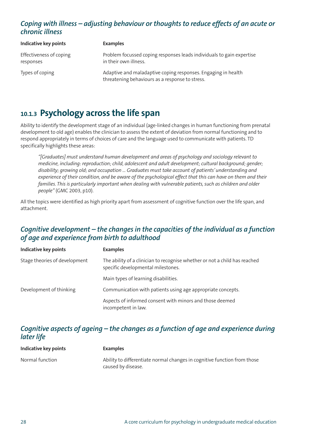#### *Coping with illness – adjusting behaviour or thoughts to reduce effects of an acute or chronic illness*

| Indicative key points                | <b>Examples</b>                                                                                                  |
|--------------------------------------|------------------------------------------------------------------------------------------------------------------|
| Effectiveness of coping<br>responses | Problem focussed coping responses leads individuals to gain expertise<br>in their own illness.                   |
| Types of coping                      | Adaptive and maladaptive coping responses. Engaging in health<br>threatening behaviours as a response to stress. |

### **10.1.3 Psychology across the life span**

Ability to identify the development stage of an individual (age-linked changes in human functioning from prenatal development to old age) enables the clinician to assess the extent of deviation from normal functioning and to respond appropriately in terms of choices of care and the language used to communicate with patients. TD specifically highlights these areas:

*"[Graduates] must understand human development and areas of psychology and sociology relevant to medicine, including: reproduction; child, adolescent and adult development; cultural background; gender; disability; growing old; and occupation … Graduates must take account of patients'understanding and* experience of their condition, and be aware of the psychological effect that this can have on them and their *families. This is particularly important when dealing with vulnerable patients, such as children and older people"* (GMC 2003, p10).

All the topics were identified as high priority apart from assessment of cognitive function over the life span, and attachment.

#### *Cognitive development – the changes in the capacities of the individual as a function of age and experience from birth to adulthood*

| <b>Indicative key points</b>  | <b>Examples</b>                                                                                                  |
|-------------------------------|------------------------------------------------------------------------------------------------------------------|
| Stage theories of development | The ability of a clinician to recognise whether or not a child has reached<br>specific developmental milestones. |
|                               | Main types of learning disabilities.                                                                             |
| Development of thinking       | Communication with patients using age appropriate concepts.                                                      |
|                               | Aspects of informed consent with minors and those deemed<br>incompetent in law.                                  |

#### *Cognitive aspects of ageing – the changes as a function of age and experience during later life*

| Indicative key points | <b>Examples</b>                                                          |
|-----------------------|--------------------------------------------------------------------------|
| Normal function       | Ability to differentiate normal changes in cognitive function from those |
|                       | caused by disease.                                                       |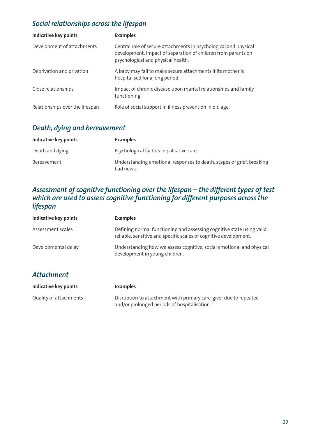### *Social relationships across the lifespan*

| <b>Indicative key points</b>    | <b>Examples</b>                                                                                                                                                         |
|---------------------------------|-------------------------------------------------------------------------------------------------------------------------------------------------------------------------|
| Development of attachments      | Central role of secure attachments in psychological and physical<br>development. Impact of separation of children from parents on<br>psychological and physical health. |
| Deprivation and privation       | A baby may fail to make secure attachments if its mother is<br>hospitalised for a long period.                                                                          |
| Close relationships             | Impact of chronic disease upon marital relationships and family<br>functioning.                                                                                         |
| Relationships over the lifespan | Role of social support in illness prevention in old age.                                                                                                                |

#### *Death, dying and bereavement*

| Indicative key points | <b>Examples</b>                                                                    |
|-----------------------|------------------------------------------------------------------------------------|
| Death and dying       | Psychological factors in palliative care.                                          |
| Bereavement           | Understanding emotional responses to death, stages of grief, breaking<br>bad news. |

#### *Assessment of cognitive functioning over the lifespan – the different types of test which are used to assess cognitive functioning for different purposes across the lifespan*

| <b>Indicative key points</b> | <b>Examples</b>                                                                                                                            |
|------------------------------|--------------------------------------------------------------------------------------------------------------------------------------------|
| Assessment scales            | Defining normal functioning and assessing cognitive state using valid<br>reliable, sensitive and specific scales of cognitive development. |
| Developmental delay          | Understanding how we assess cognitive, social emotional and physical<br>development in young children.                                     |
| <b>Attachment</b>            |                                                                                                                                            |
| <b>Indicative key points</b> | <b>Examples</b>                                                                                                                            |
| Quality of attachments       | Disruption to attachment with primary care-giver due to repeated<br>and/or prolonged periods of hospitalisation                            |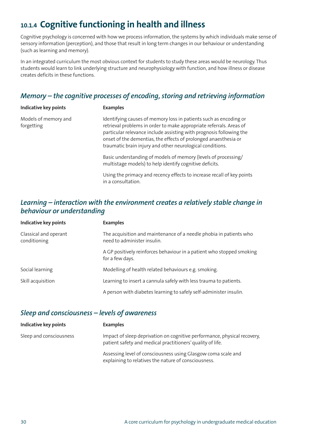### **10.1.4 Cognitive functioning in health and illness**

Cognitive psychology is concerned with how we process information, the systems by which individuals make sense of sensory information (perception), and those that result in long term changes in our behaviour or understanding (such as learning and memory).

In an integrated curriculum the most obvious context for students to study these areas would be neurology. Thus students would learn to link underlying structure and neurophysiology with function, and how illness or disease creates deficits in these functions.

### *Memory – the cognitive processes of encoding, storing and retrieving information*

| Indicative key points              | <b>Examples</b>                                                                                                                                                                                                                                                                                                                                 |
|------------------------------------|-------------------------------------------------------------------------------------------------------------------------------------------------------------------------------------------------------------------------------------------------------------------------------------------------------------------------------------------------|
| Models of memory and<br>forgetting | Identifying causes of memory loss in patients such as encoding or<br>retrieval problems in order to make appropriate referrals. Areas of<br>particular relevance include assisting with prognosis following the<br>onset of the dementias, the effects of prolonged anaesthesia or<br>traumatic brain injury and other neurological conditions. |
|                                    | Basic understanding of models of memory (levels of processing/<br>multistage models) to help identify cognitive deficits.                                                                                                                                                                                                                       |
|                                    | Using the primacy and recency effects to increase recall of key points<br>in a consultation.                                                                                                                                                                                                                                                    |

#### *Learning – interaction with the environment creates a relatively stable change in behaviour or understanding*

| <b>Indicative key points</b>          | <b>Examples</b>                                                                                   |
|---------------------------------------|---------------------------------------------------------------------------------------------------|
| Classical and operant<br>conditioning | The acquisition and maintenance of a needle phobia in patients who<br>need to administer insulin. |
|                                       | A GP positively reinforces behaviour in a patient who stopped smoking<br>for a few days.          |
| Social learning                       | Modelling of health related behaviours e.g. smoking.                                              |
| Skill acquisition                     | Learning to insert a cannula safely with less trauma to patients.                                 |
|                                       | A person with diabetes learning to safely self-administer insulin.                                |

#### *Sleep and consciousness – levels of awareness*

| <b>Indicative key points</b> | <b>Examples</b>                                                                                                                        |
|------------------------------|----------------------------------------------------------------------------------------------------------------------------------------|
| Sleep and consciousness      | Impact of sleep deprivation on cognitive performance, physical recovery,<br>patient safety and medical practitioners' quality of life. |
|                              | Assessing level of consciousness using Glasgow coma scale and<br>explaining to relatives the nature of consciousness.                  |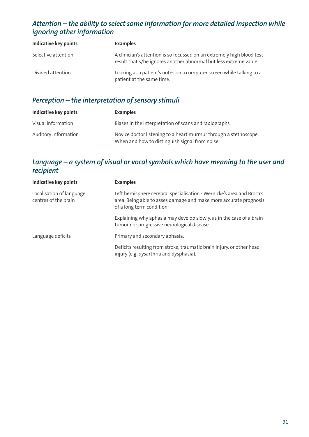### *Attention – the ability to select some information for more detailed inspection while ignoring other information*

| Indicative key points | <b>Examples</b>                                                                                                                             |
|-----------------------|---------------------------------------------------------------------------------------------------------------------------------------------|
| Selective attention   | A clinician's attention is so focussed on an extremely high blood test<br>result that s/he ignores another abnormal but less extreme value. |
| Divided attention     | Looking at a patient's notes on a computer screen while talking to a<br>patient at the same time.                                           |

#### *Perception – the interpretation of sensory stimuli*

| Indicative key points | <b>Examples</b>                                                                                                    |
|-----------------------|--------------------------------------------------------------------------------------------------------------------|
| Visual information    | Biases in the interpretation of scans and radiographs.                                                             |
| Auditory information  | Novice doctor listening to a heart murmur through a stethoscope.<br>When and how to distinguish signal from noise. |

#### *Language – a system of visual or vocal symbols which have meaning to the user and recipient*

| <b>Indicative key points</b>                     | <b>Examples</b>                                                                                                                                                         |
|--------------------------------------------------|-------------------------------------------------------------------------------------------------------------------------------------------------------------------------|
| Localisation of language<br>centres of the brain | Left hemisphere cerebral specialisation - Wernicke's area and Broca's<br>area. Being able to asses damage and make more accurate prognosis<br>of a long term condition. |
|                                                  | Explaining why aphasia may develop slowly, as in the case of a brain<br>tumour or progressive neurological disease.                                                     |
| Language deficits                                | Primary and secondary aphasia.                                                                                                                                          |
|                                                  | Deficits resulting from stroke, traumatic brain injury, or other head<br>injury (e.g. dysarthria and dysphasia).                                                        |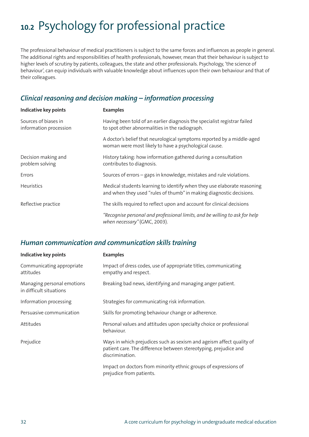# **10.2** Psychology for professional practice

The professional behaviour of medical practitioners is subject to the same forces and influences as people in general. The additional rights and responsibilities of health professionals, however, mean that their behaviour is subject to higher levels of scrutiny by patients, colleagues, the state and other professionals. Psychology, 'the science of behaviour', can equip individuals with valuable knowledge about influences upon their own behaviour and that of their colleagues.

#### *Clinical reasoning and decision making – information processing*

| <b>Indicative key points</b>                   | <b>Examples</b>                                                                                                                                |
|------------------------------------------------|------------------------------------------------------------------------------------------------------------------------------------------------|
| Sources of biases in<br>information procession | Having been told of an earlier diagnosis the specialist registrar failed<br>to spot other abnormalities in the radiograph.                     |
|                                                | A doctor's belief that neurological symptoms reported by a middle-aged<br>woman were most likely to have a psychological cause.                |
| Decision making and<br>problem solving         | History taking: how information gathered during a consultation<br>contributes to diagnosis.                                                    |
| Errors                                         | Sources of errors - gaps in knowledge, mistakes and rule violations.                                                                           |
| <b>Heuristics</b>                              | Medical students learning to identify when they use elaborate reasoning<br>and when they used "rules of thumb" in making diagnostic decisions. |
| Reflective practice                            | The skills required to reflect upon and account for clinical decisions                                                                         |
|                                                | "Recognise personal and professional limits, and be willing to ask for help<br>when necessary" (GMC, 2003).                                    |

#### *Human communication and communication skills training*

| <b>Indicative key points</b>                          | <b>Examples</b>                                                                                                                                             |
|-------------------------------------------------------|-------------------------------------------------------------------------------------------------------------------------------------------------------------|
| Communicating appropriate<br>attitudes                | Impact of dress codes, use of appropriate titles, communicating<br>empathy and respect.                                                                     |
| Managing personal emotions<br>in difficult situations | Breaking bad news, identifying and managing anger patient.                                                                                                  |
| Information processing                                | Strategies for communicating risk information.                                                                                                              |
| Persuasive communication                              | Skills for promoting behaviour change or adherence.                                                                                                         |
| Attitudes                                             | Personal values and attitudes upon specialty choice or professional<br>behaviour.                                                                           |
| Prejudice                                             | Ways in which prejudices such as sexism and ageism affect quality of<br>patient care. The difference between stereotyping, prejudice and<br>discrimination. |
|                                                       | Impact on doctors from minority ethnic groups of expressions of<br>prejudice from patients.                                                                 |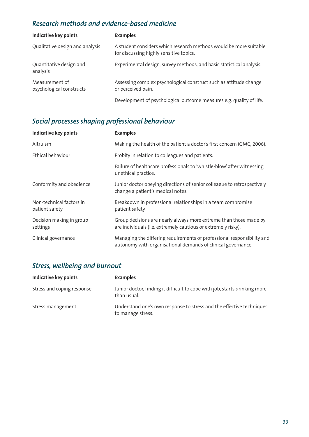### *Research methods and evidence-based medicine*

| <b>Indicative key points</b>               | <b>Examples</b>                                                                                              |
|--------------------------------------------|--------------------------------------------------------------------------------------------------------------|
| Qualitative design and analysis            | A student considers which research methods would be more suitable<br>for discussing highly sensitive topics. |
| Quantitative design and<br>analysis        | Experimental design, survey methods, and basic statistical analysis.                                         |
| Measurement of<br>psychological constructs | Assessing complex psychological construct such as attitude change<br>or perceived pain.                      |
|                                            | Development of psychological outcome measures e.g. quality of life.                                          |

### *Social processes shaping professional behaviour*

| <b>Indicative key points</b>               | <b>Examples</b>                                                                                                                        |
|--------------------------------------------|----------------------------------------------------------------------------------------------------------------------------------------|
| Altruism                                   | Making the health of the patient a doctor's first concern (GMC, 2006).                                                                 |
| Ethical behaviour                          | Probity in relation to colleagues and patients.                                                                                        |
|                                            | Failure of healthcare professionals to 'whistle-blow' after witnessing<br>unethical practice.                                          |
| Conformity and obedience                   | Junior doctor obeying directions of senior colleague to retrospectively<br>change a patient's medical notes.                           |
| Non-technical factors in<br>patient safety | Breakdown in professional relationships in a team compromise<br>patient safety.                                                        |
| Decision making in group<br>settings       | Group decisions are nearly always more extreme than those made by<br>are individuals (i.e. extremely cautious or extremely risky).     |
| Clinical governance                        | Managing the differing requirements of professional responsibility and<br>autonomy with organisational demands of clinical governance. |

### *Stress, wellbeing and burnout*

| <b>Indicative key points</b> | <b>Examples</b>                                                                           |
|------------------------------|-------------------------------------------------------------------------------------------|
| Stress and coping response   | Junior doctor, finding it difficult to cope with job, starts drinking more<br>than usual. |
| Stress management            | Understand one's own response to stress and the effective techniques<br>to manage stress. |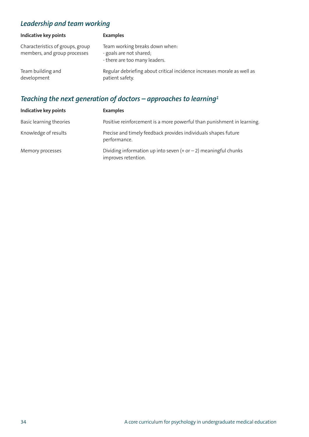### *Leadership and team working*

| <b>Indicative key points</b>                                     | <b>Examples</b>                                                                            |
|------------------------------------------------------------------|--------------------------------------------------------------------------------------------|
| Characteristics of groups, group<br>members, and group processes | Team working breaks down when:<br>- goals are not shared;<br>- there are too many leaders. |
| Team building and<br>development                                 | Regular debriefing about critical incidence increases morale as well as<br>patient safety. |

### *Teaching the next generation of doctors – approaches to learning1*

| <b>Indicative key points</b> | <b>Examples</b>                                                                          |
|------------------------------|------------------------------------------------------------------------------------------|
| Basic learning theories      | Positive reinforcement is a more powerful than punishment in learning.                   |
| Knowledge of results         | Precise and timely feedback provides individuals shapes future<br>performance.           |
| Memory processes             | Dividing information up into seven $(+ or - 2)$ meaningful chunks<br>improves retention. |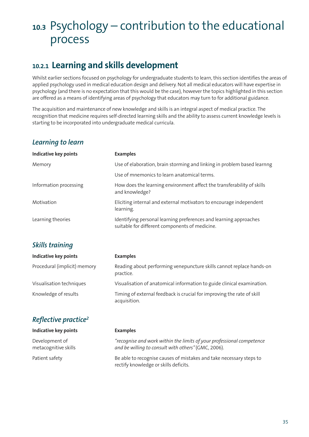## **10.3** Psychology – contribution to the educational process

### **10.2.1 Learning and skills development**

Whilst earlier sections focused on psychology for undergraduate students to learn, this section identifies the areas of applied psychology used in medical education design and delivery. Not all medical educators will have expertise in psychology (and there is no expectation that this would be the case), however the topics highlighted in this section are offered as a means of identifying areas of psychology that educators may turn to for additional guidance.

The acquisition and maintenance of new knowledge and skills is an integral aspect of medical practice. The recognition that medicine requires self-directed learning skills and the ability to assess current knowledge levels is starting to be incorporated into undergraduate medical curricula.

#### *Learning to learn*

| Indicative key points            | <b>Examples</b>                                                                                                     |
|----------------------------------|---------------------------------------------------------------------------------------------------------------------|
| Memory                           | Use of elaboration, brain storming and linking in problem based learnng                                             |
|                                  | Use of mnemonics to learn anatomical terms.                                                                         |
| Information processing           | How does the learning environment affect the transferability of skills<br>and knowledge?                            |
| Motivation                       | Eliciting internal and external motivators to encourage independent<br>learning.                                    |
| Learning theories                | Identifying personal learning preferences and learning approaches<br>suitable for different components of medicine. |
| Skills training                  |                                                                                                                     |
| Indicative key points            | <b>Examples</b>                                                                                                     |
| Procedural (implicit) memory     | Reading about performing venepuncture skills cannot replace hands-on<br>practice.                                   |
| Visualisation techniques         | Visualisation of anatomical information to guide clinical examination.                                              |
| Knowledge of results             | Timing of external feedback is crucial for improving the rate of skill<br>acquisition.                              |
| Reflective practice <sup>2</sup> |                                                                                                                     |

| Indicative key points                  | <b>Examples</b>                                                                                                              |
|----------------------------------------|------------------------------------------------------------------------------------------------------------------------------|
| Development of<br>metacognitive skills | "recognise and work within the limits of your professional competence<br>and be willing to consult with others" (GMC, 2006). |
| Patient safety                         | Be able to recognise causes of mistakes and take necessary steps to<br>rectify knowledge or skills deficits.                 |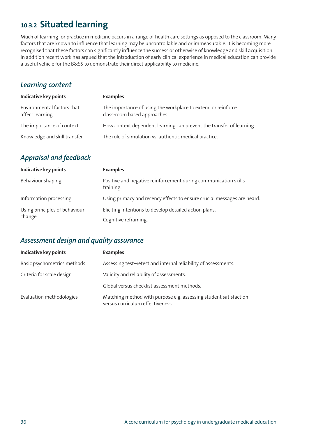### **10.3.2 Situated learning**

Much of learning for practice in medicine occurs in a range of health care settings as opposed to the classroom. Many factors that are known to influence that learning may be uncontrollable and or immeasurable. It is becoming more recognised that these factors can significantly influence the success or otherwise of knowledge and skill acquisition. In addition recent work has argued that the introduction of early clinical experience in medical education can provide a useful vehicle for the B&SS to demonstrate their direct applicability to medicine.

#### *Learning content*

| <b>Indicative key points</b>                  | <b>Examples</b>                                                                              |
|-----------------------------------------------|----------------------------------------------------------------------------------------------|
| Environmental factors that<br>affect learning | The importance of using the workplace to extend or reinforce<br>class-room based approaches. |
| The importance of context                     | How context dependent learning can prevent the transfer of learning.                         |
| Knowledge and skill transfer                  | The role of simulation vs. authentic medical practice.                                       |
|                                               |                                                                                              |

### *Appraisal and feedback*

| Indicative key points                   | <b>Examples</b>                                                              |
|-----------------------------------------|------------------------------------------------------------------------------|
| Behaviour shaping                       | Positive and negative reinforcement during communication skills<br>training. |
| Information processing                  | Using primacy and recency effects to ensure crucial messages are heard.      |
| Using principles of behaviour<br>change | Eliciting intentions to develop detailed action plans.                       |
|                                         | Cognitive reframing.                                                         |

#### *Assessment design and quality assurance*

| Indicative key points       | <b>Examples</b>                                                                                      |
|-----------------------------|------------------------------------------------------------------------------------------------------|
| Basic psychometrics methods | Assessing test-retest and internal reliability of assessments.                                       |
| Criteria for scale design   | Validity and reliability of assessments.                                                             |
|                             | Global versus checklist assessment methods.                                                          |
| Evaluation methodologies    | Matching method with purpose e.g. assessing student satisfaction<br>versus curriculum effectiveness. |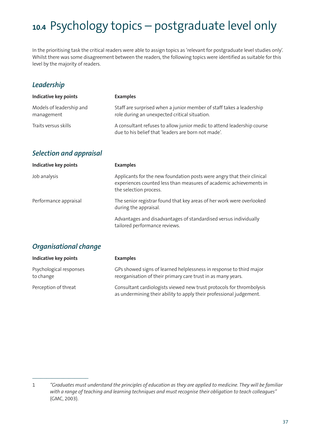# **10.4** Psychology topics – postgraduate level only

In the prioritising task the critical readers were able to assign topics as 'relevant for postgraduate level studies only'. Whilst there was some disagreement between the readers, the following topics were identified as suitable for this level by the majority of readers.

#### *Leadership*

| Indicative key points                  | <b>Examples</b>                                                                                                               |
|----------------------------------------|-------------------------------------------------------------------------------------------------------------------------------|
| Models of leadership and<br>management | Staff are surprised when a junior member of staff takes a leadership<br>role during an unexpected critical situation.         |
| Traits versus skills                   | A consultant refuses to allow junior medic to attend leadership course<br>due to his belief that 'leaders are born not made'. |

#### *Selection and appraisal*

| <b>Indicative key points</b> | <b>Examples</b>                                                                                                                                                        |
|------------------------------|------------------------------------------------------------------------------------------------------------------------------------------------------------------------|
| Job analysis                 | Applicants for the new foundation posts were angry that their clinical<br>experiences counted less than measures of academic achievements in<br>the selection process. |
| Performance appraisal        | The senior registrar found that key areas of her work were overlooked<br>during the appraisal.                                                                         |
|                              | Advantages and disadvantages of standardised versus individually<br>tailored performance reviews.                                                                      |

#### *Organisational change*

 $\overline{\phantom{a}}$  , where  $\overline{\phantom{a}}$ 

| <b>Indicative key points</b>         | <b>Examples</b>                                                                                                                             |
|--------------------------------------|---------------------------------------------------------------------------------------------------------------------------------------------|
| Psychological responses<br>to change | GPs showed signs of learned helplessness in response to third major<br>reorganisation of their primary care trust in as many years.         |
| Perception of threat                 | Consultant cardiologists viewed new trust protocols for thrombolysis<br>as undermining their ability to apply their professional judgement. |

<sup>1 &</sup>quot;Graduates must understand the principles of education as they are applied to medicine. They will be familiar *with a range of teaching and learning techniques and must recognise their obligation to teach colleagues"* (GMC, 2003).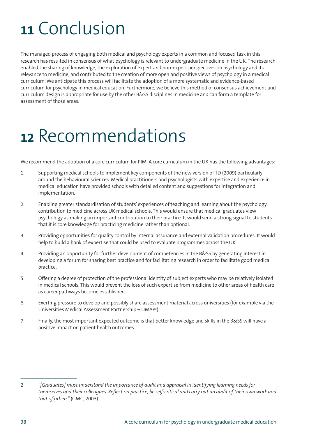# **<sup>11</sup>** Conclusion

The managed process of engaging both medical and psychology experts in a common and focused task in this research has resulted in consensus of what psychology is relevant to undergraduate medicine in the UK. The research enabled the sharing of knowledge, the exploration of expert and non-expert perspectives on psychology and its relevance to medicine, and contributed to the creation of more open and positive views of psychology in a medical curriculum. We anticipate this process will facilitate the adoption of a more systematic and evidence-based curriculum for psychology in medical education. Furthermore, we believe this method of consensus achievement and curriculum design is appropriate for use by the other B&SS disciplines in medicine and can form a template for assessment of those areas.

# **<sup>12</sup>** Recommendations

We recommend the adoption of a core curriculum for PIM. A core curriculum in the UK has the following advantages:

- 1. Supporting medical schools to implement key components of the new version of TD (2009) particularly around the behavioural sciences. Medical practitioners and psychologists with expertise and experience in medical education have provided schools with detailed content and suggestions for integration and implementation.
- 2. Enabling greater standardisation of students'experiences of teaching and learning about the psychology contribution to medicine across UK medical schools. This would ensure that medical graduates view psychology as making an important contribution to their practice. It would send a strong signal to students that it is core knowledge for practicing medicine rather than optional.
- 3. Providing opportunities for quality control by internal assurance and external validation procedures. It would help to build a bank of expertise that could be used to evaluate programmes across the UK.
- 4. Providing an opportunity for further development of competencies in the B&SS by generating interest in developing a forum for sharing best practice and for facilitating research in order to facilitate good medical practice.
- 5. Offering a degree of protection of the professional identity of subject experts who may be relatively isolated in medical schools. This would prevent the loss of such expertise from medicine to other areas of health care as career pathways become established.
- 6. Exerting pressure to develop and possibly share assessment material across universities (for example via the Universities Medical Assessment Partnership – UMAP3).
- 7. Finally, the most important expected outcome is that better knowledge and skills in the B&SS will have a positive impact on patient health outcomes.

\_\_\_\_\_\_\_\_\_\_\_\_\_\_\_\_\_\_\_\_

<sup>2</sup> *"[Graduates] must understand the importance of audit and appraisal in identifying learning needs for* themselves and their colleagues. Reflect on practice, be self-critical and carry out an audit of their own work and *that of others"* (GMC, 2003).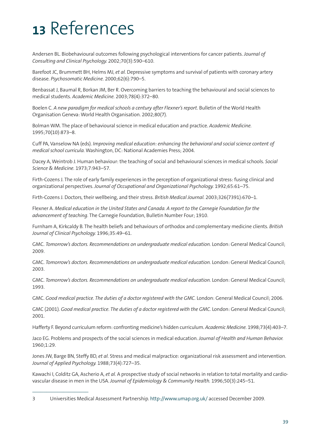# **<sup>13</sup>** References

Andersen BL. Biobehavioural outcomes following psychological interventions for cancer patients. *Journal of Consulting and Clinical Psychology.* 2002;70(3):590–610.

Barefoot JC, Brummett BH, Helms MJ, *et al.* Depressive symptoms and survival of patients with coronary artery disease. *Psychosomatic Medicine.* 2000;62(6):790–5.

Benbassat J, Baumal R, Borkan JM, Ber R. Overcoming barriers to teaching the behavioural and social sciences to medical students. *Academic Medicine.* 2003;78(4):372–80.

Boelen C. *A new paradigm for medical schools a century after Flexner's report.* Bulletin of the World Health Organisation Geneva: World Health Organisation. 2002;80(7).

Bolman WM. The place of behavioural science in medical education and practice. *Academic Medicine.* 1995;70(10):873–8.

Cuff PA, Vanselow NA (eds). *Improving medical education: enhancing the behavioral and social science content of medical school curricula.* Washington, DC: National Academies Press; 2004.

Dacey A, Weintrob J. Human behaviour: the teaching of social and behavioural sciences in medical schools. *Social Science & Medicine.* 1973;7:943–57.

Firth-Cozens J. The role of early family experiences in the perception of organizational stress: fusing clinical and organizational perspectives. *Journal of Occupational and Organizational Psychology.* 1992;65:61–75.

Firth-Cozens J. Doctors, their wellbeing, and their stress. *British Medical Journal.* 2003;326(7391):670–1.

Flexner A. *Medical education in the United States and Canada. A report to the Carnegie Foundation for the advancement of teaching.* The Carnegie Foundation, Bulletin Number Four; 1910.

Furnham A, Kirkcaldy B. The health beliefs and behaviours of orthodox and complementary medicine clients. *British Journal of Clinical Psychology.* 1996;35:49–61.

GMC. *Tomorrow's doctors. Recommendations on undergraduate medical education.* London: General Medical Council; 2009.

GMC. *Tomorrow's doctors. Recommendations on undergraduate medical education.* London: General Medical Council; 2003.

GMC. *Tomorrow's doctors. Recommendations on undergraduate medical education.* London: General Medical Council; 1993.

GMC. *Good medical practice. The duties of a doctor registered with the GMC.* London: General Medical Council; 2006.

GMC (2001). *Good medical practice. The duties of a doctor registered with the GMC.* London: General Medical Council; 2001.

Hafferty F. Beyond curriculum reform: confronting medicine's hidden curriculum. *Academic Medicine.* 1998;73(4):403–7.

Jaco EG. Problems and prospects of the social sciences in medical education. *Journal of Health and Human Behavior.* 1960;1:29.

Jones JW, Barge BN, Steffy BD, *et al*. Stress and medical malpractice: organizational risk assessment and intervention. *Journal of Applied Psychology.* 1988;73(4):727–35.

Kawachi I, Colditz GA, Ascherio A, *et al.* A prospective study of social networks in relation to total mortality and cardiovascular disease in men in the USA. *Journal of Epidemiology & Community Health.* 1996;50(3):245–51.

 $\mathcal{L}_\text{max}$ 

<sup>3</sup> Universities Medical Assessment Partnership. http://www.umap.org.uk/ accessed December 2009.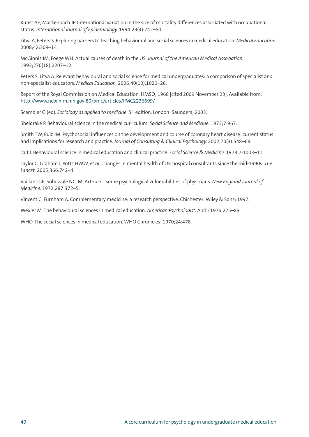Kunst AE, Mackenbach JP. International variation in the size of mortality differences associated with occupational status. *International Journal of Epidemiology.* 1994;23(4):742–50.

Litva A, Peters S. Exploring barriers to teaching behavioural and social sciences in medical education. *Medical Education.* 2008;42:309–14.

McGinnis JM, Foege WH. Actual causes of death in the US. *Journal of the American Medical Association.* 1993;270(18):2207–12.

Peters S, Litva A. Relevant behavioural and social science for medical undergraduates: a comparison of specialist and non-specialist educators. *Medical Education.* 2006;40(10):1020–26.

Report of the Royal Commission on Medical Education. HMSO; 1968 [cited 2009 November 23]. Available from: http://www.ncbi.nlm.nih.gov:80/pmc/articles/PMC2236699/

Scambler G (ed). *Sociology as applied to medicine*. 5th edition. London: Saunders; 2003.

Sheldrake P. Behavioural science in the medical curriculum. *Social Science and Medicine.* 1973;7:967.

Smith TW, Ruiz JM. Psychosocial influences on the development and course of coronary heart disease: current status and implications for research and practice. *Journal of Consulting & Clinical Psychology.* 2002;70(3):548–68.

Tait I. Behavioural science in medical education and clinical practice. *Social Science & Medicine.* 1973;7:1003–11.

Taylor C, Graham J, Potts HWW, *et al*. Changes in mental health of UK hospital consultants since the mid-1990s. *The Lancet.* 2005;366:742–4.

Vaillant GE, Sobowale NC, McArthur C. Some psychological vulnerabilities of physicians. *New England Journal of Medicine.* 1972;287:372–5.

Vincent C, Furnham A. Complementary medicine: a research perspective. Chichester: Wiley & Sons; 1997.

Wexler M. The behavioural sciences in medical education. *American Psychologist.* April: 1976;275–83.

WHO. The social sciences in medical education. WHO Chronicles; 1970;24:478.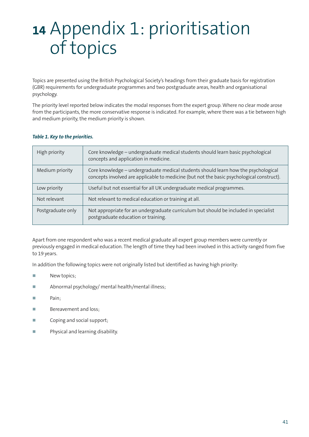# **<sup>14</sup>** Appendix 1: prioritisation of topics

Topics are presented using the British Psychological Society's headings from their graduate basis for registration (GBR) requirements for undergraduate programmes and two postgraduate areas, health and organisational psychology.

The priority level reported below indicates the modal responses from the expert group. Where no clear mode arose from the participants, the more conservative response is indicated. For example, where there was a tie between high and medium priority, the medium priority is shown.

| High priority     | Core knowledge - undergraduate medical students should learn basic psychological<br>concepts and application in medicine.                                                       |
|-------------------|---------------------------------------------------------------------------------------------------------------------------------------------------------------------------------|
| Medium priority   | Core knowledge – undergraduate medical students should learn how the psychological<br>concepts involved are applicable to medicine (but not the basic psychological construct). |
| Low priority      | Useful but not essential for all UK undergraduate medical programmes.                                                                                                           |
| Not relevant      | Not relevant to medical education or training at all.                                                                                                                           |
| Postgraduate only | Not appropriate for an undergraduate curriculum but should be included in specialist<br>postgraduate education or training.                                                     |

#### *Table 1. Key to the priorities.*

Apart from one respondent who was a recent medical graduate all expert group members were currently or previously engaged in medical education. The length of time they had been involved in this activity ranged from five to 19 years.

In addition the following topics were not originally listed but identified as having high priority:

- **-**New topics;
- **-**Abnormal psychology/ mental health/mental illness;
- **-**Pain;
- **-**Bereavement and loss;
- **-**Coping and social support;
- **-**Physical and learning disability.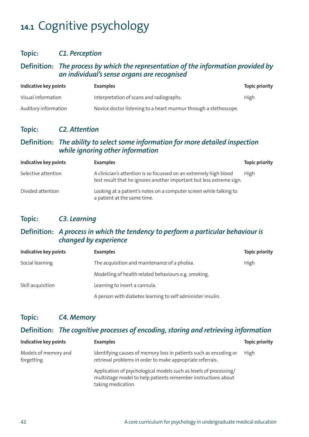# **14.1** Cognitive psychology

#### **Topic:** *C1. Perception*

#### **Definition:** *The process by which the representation of the information provided by an individual's sense organs are recognised*

| Indicative key points | <b>Examples</b>                                                  | <b>Topic priority</b> |
|-----------------------|------------------------------------------------------------------|-----------------------|
| Visual information    | Interpretation of scans and radiographs.                         | High                  |
| Auditory information  | Novice doctor listening to a heart murmur through a stethoscope. |                       |

#### **Topic:** *C2. Attention*

#### **Definition:** *The ability to select some information for more detailed inspection while ignoring other information*

| Indicative key points | <b>Examples</b>                                                                                                                           | <b>Topic priority</b> |
|-----------------------|-------------------------------------------------------------------------------------------------------------------------------------------|-----------------------|
| Selective attention   | A clinician's attention is so focussed on an extremely high blood<br>test result that he ignores another important but less extreme sign. | High                  |
| Divided attention     | Looking at a patient's notes on a computer screen while talking to<br>a patient at the same time.                                         |                       |

#### **Topic:** *C3. Learning*

#### **Definition:** *A process in which the tendency to perform a particular behaviour is changed by experience*

| Indicative key points | <b>Examples</b>                                             | <b>Topic priority</b> |
|-----------------------|-------------------------------------------------------------|-----------------------|
| Social learning       | The acquisition and maintenance of a phobia.                | High                  |
|                       | Modelling of health related behaviours e.g. smoking.        |                       |
| Skill acquisition     | Learning to insert a cannula.                               |                       |
|                       | A person with diabetes learning to self administer insulin. |                       |

#### **Topic:** *C4. Memory*

#### **Definition:** *The cognitive processes of encoding, storing and retrieving information*

| Indicative key points              | <b>Examples</b>                                                                                                                                          | <b>Topic priority</b> |
|------------------------------------|----------------------------------------------------------------------------------------------------------------------------------------------------------|-----------------------|
| Models of memory and<br>forgetting | Identifying causes of memory loss in patients such as encoding or<br>retrieval problems in order to make appropriate referrals.                          | High                  |
|                                    | Application of psychological models such as levels of processing/<br>multistage model to help patients remember instructions about<br>taking medication. |                       |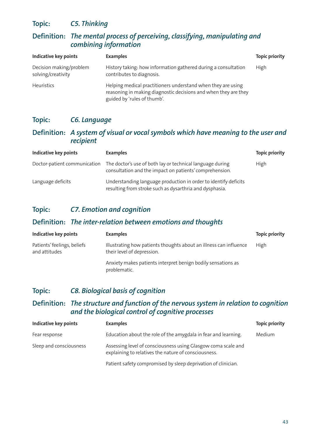#### **Topic:** *C5. Thinking*

#### **Definition:** *The mental process of perceiving, classifying, manipulating and combining information*

| <b>Indicative key points</b>                  | <b>Examples</b>                                                                                                                                                | <b>Topic priority</b> |
|-----------------------------------------------|----------------------------------------------------------------------------------------------------------------------------------------------------------------|-----------------------|
| Decision making/problem<br>solving/creativity | History taking: how information gathered during a consultation<br>contributes to diagnosis.                                                                    | <b>High</b>           |
| <b>Heuristics</b>                             | Helping medical practitioners understand when they are using<br>reasoning in making diagnostic decisions and when they are they<br>guided by 'rules of thumb'. |                       |

#### **Topic:** *C6. Language*

#### **Definition:** *A system of visual or vocal symbols which have meaning to the user and recipient*

| Indicative key points | <b>Examples</b>                                                                                                                                   | <b>Topic priority</b> |
|-----------------------|---------------------------------------------------------------------------------------------------------------------------------------------------|-----------------------|
|                       | Doctor-patient communication The doctor's use of both lay or technical language during<br>consultation and the impact on patients' comprehension. | High                  |
| Language deficits     | Understanding language production in order to identify deficits<br>resulting from stroke such as dysarthria and dysphasia.                        |                       |

#### **Topic:** *C7. Emotion and cognition*

#### **Definition:** *The inter-relation between emotions and thoughts*

| <b>Indicative key points</b>                 | <b>Examples</b>                                                                                 | <b>Topic priority</b> |
|----------------------------------------------|-------------------------------------------------------------------------------------------------|-----------------------|
| Patients' feelings, beliefs<br>and attitudes | Illustrating how patients thoughts about an illness can influence<br>their level of depression. | High                  |
|                                              | Anxiety makes patients interpret benign bodily sensations as<br>problematic.                    |                       |

#### **Topic:** *C8. Biological basis of cognition*

#### **Definition:** *The structure and function of the nervous system in relation to cognition and the biological control of cognitive processes*

| Indicative key points   | <b>Examples</b>                                                                                                       | <b>Topic priority</b> |
|-------------------------|-----------------------------------------------------------------------------------------------------------------------|-----------------------|
| Fear response           | Education about the role of the amygdala in fear and learning.                                                        | Medium                |
| Sleep and consciousness | Assessing level of consciousness using Glasgow coma scale and<br>explaining to relatives the nature of consciousness. |                       |
|                         | Patient safety compromised by sleep deprivation of clinician.                                                         |                       |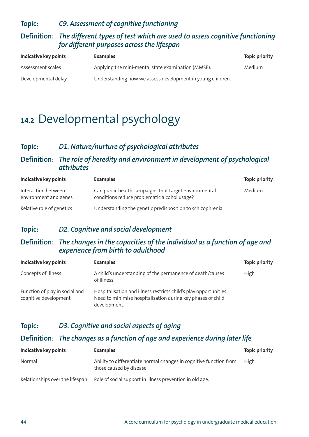#### **Topic:** *C9. Assessment of cognitive functioning*

#### **Definition:** *The different types of test which are used to assess cognitive functioning for different purposes across the lifespan*

| Indicative key points | <b>Examples</b>                                            | <b>Topic priority</b> |
|-----------------------|------------------------------------------------------------|-----------------------|
| Assessment scales     | Applying the mini-mental state examination (MMSE).         | Medium                |
| Developmental delay   | Understanding how we assess development in young children. |                       |

## **14.2** Developmental psychology

#### **Topic:** *D1. Nature/nurture of psychological attributes*

#### **Definition:** *The role of heredity and environment in development of psychological attributes*

| Indicative key points                        | <b>Examples</b>                                                                                       | <b>Topic priority</b> |
|----------------------------------------------|-------------------------------------------------------------------------------------------------------|-----------------------|
| Interaction between<br>environment and genes | Can public health campaigns that target environmental<br>conditions reduce problematic alcohol usage? | Medium                |
| Relative role of genetics                    | Understanding the genetic predisposition to schizophrenia.                                            |                       |

#### **Topic:** *D2. Cognitive and social development*

#### **Definition:** *The changes in the capacities of the individual as a function of age and experience from birth to adulthood*

| Indicative key points                                   | <b>Examples</b>                                                                                                                                  | <b>Topic priority</b> |
|---------------------------------------------------------|--------------------------------------------------------------------------------------------------------------------------------------------------|-----------------------|
| Concepts of Illness                                     | A child's understanding of the permanence of death/causes<br>of illness.                                                                         | High                  |
| Function of play in social and<br>cognitive development | Hospitalisation and illness restricts child's play opportunities.<br>Need to minimise hospitalisation during key phases of child<br>development. |                       |

#### **Topic:** *D3. Cognitive and social aspects of aging*

#### **Definition:** *The changes as a function of age and experience during later life*

| Indicative key points           | <b>Examples</b>                                                                                | <b>Topic priority</b> |
|---------------------------------|------------------------------------------------------------------------------------------------|-----------------------|
| Normal                          | Ability to differentiate normal changes in cognitive function from<br>those caused by disease. | High                  |
| Relationships over the lifespan | Role of social support in illness prevention in old age.                                       |                       |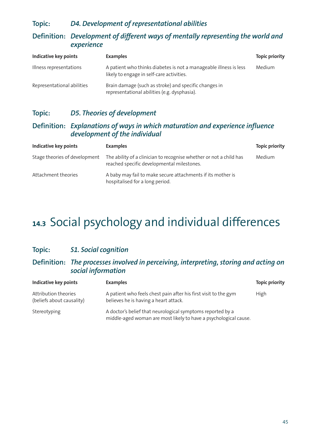#### **Topic:** *D4. Development of representational abilities*

#### **Definition:** *Development of different ways of mentally representing the world and experience*

| Indicative key points      | <b>Examples</b>                                                                                                | <b>Topic priority</b> |
|----------------------------|----------------------------------------------------------------------------------------------------------------|-----------------------|
| Illness representations    | A patient who thinks diabetes is not a manageable illness is less<br>likely to engage in self-care activities. | Medium                |
| Representational abilities | Brain damage (such as stroke) and specific changes in<br>representational abilities (e.g. dysphasia).          |                       |

#### **Topic:** *D5. Theories of development*

#### **Definition:** *Explanations of ways in which maturation and experience influence development of the individual*

| Indicative key points         | <b>Examples</b>                                                                                                  | <b>Topic priority</b> |
|-------------------------------|------------------------------------------------------------------------------------------------------------------|-----------------------|
| Stage theories of development | The ability of a clinician to recognise whether or not a child has<br>reached specific developmental milestones. | Medium                |
| Attachment theories           | A baby may fail to make secure attachments if its mother is<br>hospitalised for a long period.                   |                       |

# **14.3** Social psychology and individual differences

#### **Topic:** *S1. Social cognition*

#### **Definition:** *The processes involved in perceiving, interpreting, storing and acting on social information*

| <b>Indicative key points</b>                      | <b>Examples</b>                                                                                                                | <b>Topic priority</b> |
|---------------------------------------------------|--------------------------------------------------------------------------------------------------------------------------------|-----------------------|
| Attribution theories<br>(beliefs about causality) | A patient who feels chest pain after his first visit to the gym<br>believes he is having a heart attack.                       | <b>High</b>           |
| Stereotyping                                      | A doctor's belief that neurological symptoms reported by a<br>middle-aged woman are most likely to have a psychological cause. |                       |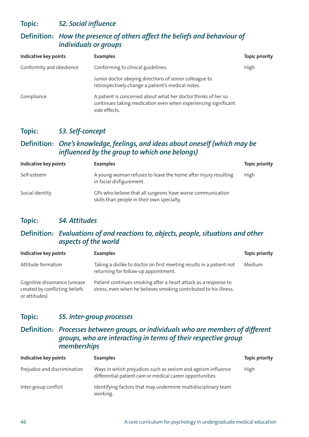**Topic:** *S2. Social influence*

#### **Definition:** *How the presence of others affect the beliefs and behaviour of individuals or groups*

| <b>Indicative key points</b> | <b>Examples</b>                                                                                                                                  | <b>Topic priority</b> |
|------------------------------|--------------------------------------------------------------------------------------------------------------------------------------------------|-----------------------|
| Conformity and obedience     | Conforming to clinical guidelines.                                                                                                               | High                  |
|                              | Junior doctor obeying directions of senior colleague to<br>retrospectively change a patient's medical notes.                                     |                       |
| Compliance                   | A patient is concerned about what her doctor thinks of her so<br>continues taking medication even when experiencing significant<br>side effects. |                       |

#### **Topic:** *S3. Self-concept*

#### **Definition:** *One's knowledge, feelings, and ideas about oneself (which may be influenced by the group to which one belongs)*

| Indicative key points | <b>Examples</b>                                                                                          | <b>Topic priority</b> |
|-----------------------|----------------------------------------------------------------------------------------------------------|-----------------------|
| Self-esteem           | A young woman refuses to leave the home after injury resulting<br>in facial disfigurement.               | High                  |
| Social identity       | GPs who believe that all surgeons have worse communication<br>skills than people in their own specialty. |                       |

#### **Topic:** *S4. Attitudes*

#### **Definition:** *Evaluations of and reactions to, objects, people, situations and other aspects of the world*

| Indicative key points                                                           | <b>Examples</b>                                                                                                                      | <b>Topic priority</b> |
|---------------------------------------------------------------------------------|--------------------------------------------------------------------------------------------------------------------------------------|-----------------------|
| Attitude formation                                                              | Taking a dislike to doctor on first meeting results in a patient not<br>returning for follow-up appointment.                         | Medium                |
| Cognitive dissonance (unease<br>created by conflicting beliefs<br>or attitudes) | Patient continues smoking after a heart attack as a response to<br>stress, even when he believes smoking contributed to his illness. |                       |

#### **Topic:** *S5. Inter-group processes*

#### **Definition:** *Processes between groups, or individuals who are members of different groups, who are interacting in terms of their respective group memberships*

| Indicative key points        | <b>Examples</b>                                                                                                            | <b>Topic priority</b> |
|------------------------------|----------------------------------------------------------------------------------------------------------------------------|-----------------------|
| Prejudice and discrimination | Ways in which prejudices such as sexism and ageism influence<br>differential patient care or medical career opportunities. | High                  |
| Inter-group conflict         | Identifying factors that may undermine multidisciplinary team<br>working.                                                  |                       |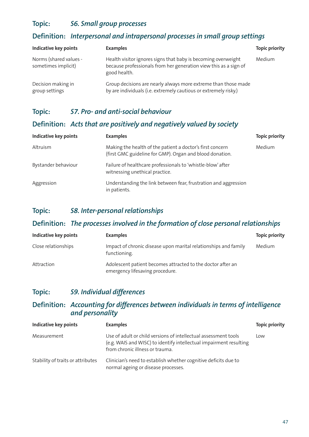#### **Topic:** *S6. Small group processes*

#### **Definition:** *Interpersonal and intrapersonal processes in small group settings*

| <b>Indicative key points</b>                  | <b>Examples</b>                                                                                                                                   | <b>Topic priority</b> |
|-----------------------------------------------|---------------------------------------------------------------------------------------------------------------------------------------------------|-----------------------|
| Norms (shared values -<br>sometimes implicit) | Health visitor ignores signs that baby is becoming overweight<br>because professionals from her generation view this as a sign of<br>good health. | Medium                |
| Decision making in<br>group settings          | Group decisions are nearly always more extreme than those made<br>by are individuals (i.e. extremely cautious or extremely risky.)                |                       |

#### **Topic:** *S7. Pro- and anti-social behaviour*

#### **Definition:** *Acts that are positively and negatively valued by society*

| <b>Indicative key points</b> | <b>Examples</b>                                                                                                       | <b>Topic priority</b> |
|------------------------------|-----------------------------------------------------------------------------------------------------------------------|-----------------------|
| Altruism                     | Making the health of the patient a doctor's first concern<br>(first GMC guideline for GMP). Organ and blood donation. | Medium                |
| Bystander behaviour          | Failure of healthcare professionals to 'whistle-blow' after<br>witnessing unethical practice.                         |                       |
| Aggression                   | Understanding the link between fear, frustration and aggression<br>in patients.                                       |                       |

#### **Topic:** *S8. Inter-personal relationships*

#### **Definition:** *The processes involved in the formation of close personal relationships*

| Indicative key points | <b>Examples</b>                                                                                | <b>Topic priority</b> |
|-----------------------|------------------------------------------------------------------------------------------------|-----------------------|
| Close relationships   | Impact of chronic disease upon marital relationships and family<br>functioning.                | Medium                |
| Attraction            | Adolescent patient becomes attracted to the doctor after an<br>emergency lifesaving procedure. |                       |

#### **Topic:** *S9. Individual differences*

#### **Definition:** *Accounting for differences between individuals in terms of intelligence and personality*

| <b>Indicative key points</b>      | <b>Examples</b>                                                                                                                                                          | <b>Topic priority</b> |
|-----------------------------------|--------------------------------------------------------------------------------------------------------------------------------------------------------------------------|-----------------------|
| Measurement                       | Use of adult or child versions of intellectual assessment tools<br>(e.g. WAIS and WISC) to identify intellectual impairment resulting<br>from chronic illness or trauma. | Low                   |
| Stability of traits or attributes | Clinician's need to establish whether cognitive deficits due to<br>normal ageing or disease processes.                                                                   |                       |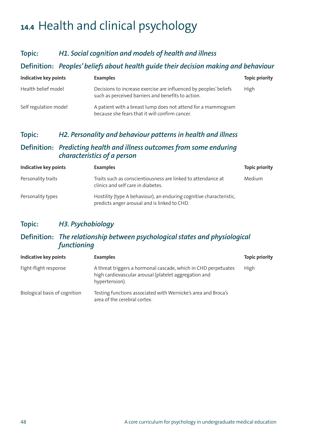# **14.4** Health and clinical psychology

#### **Topic:** *H1. Social cognition and models of health and illness*

#### **Definition:** *Peoples'beliefs about health guide their decision making and behaviour*

| Indicative key points | <b>Examples</b>                                                                                                         | <b>Topic priority</b> |
|-----------------------|-------------------------------------------------------------------------------------------------------------------------|-----------------------|
| Health belief model   | Decisions to increase exercise are influenced by peoples' beliefs<br>such as perceived barriers and benefits to action. | High                  |
| Self regulation model | A patient with a breast lump does not attend for a mammogram<br>because she fears that it will confirm cancer.          |                       |

#### **Topic:** *H2. Personality and behaviour patterns in health and illness*

#### **Definition:** *Predicting health and illness outcomes from some enduring characteristics of a person*

| <b>Indicative key points</b> | <b>Examples</b>                                                                                                     | <b>Topic priority</b> |
|------------------------------|---------------------------------------------------------------------------------------------------------------------|-----------------------|
| Personality traits           | Traits such as conscientiousness are linked to attendance at<br>clinics and self care in diabetes.                  | Medium                |
| Personality types            | Hostility (type A behaviour), an enduring cognitive characteristic,<br>predicts anger arousal and is linked to CHD. |                       |

#### **Topic:** *H3. Psychobiology*

#### **Definition:** *The relationship between psychological states and physiological functioning*

| Indicative key points         | <b>Examples</b>                                                                                                                           | <b>Topic priority</b> |
|-------------------------------|-------------------------------------------------------------------------------------------------------------------------------------------|-----------------------|
| Fight-flight response         | A threat triggers a hormonal cascade, which in CHD perpetuates<br>high cardiovascular arousal (platelet aggregation and<br>hypertension). | High                  |
| Biological basis of cognition | Testing functions associated with Wernicke's area and Broca's<br>area of the cerebral cortex.                                             |                       |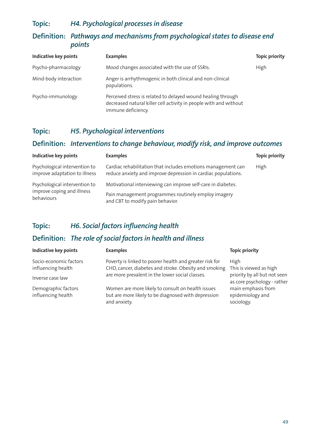#### **Topic:** *H4. Psychological processes in disease*

#### **Definition:** *Pathways and mechanisms from psychological states to disease end points*

| <b>Indicative key points</b> | <b>Examples</b>                                                                                                                                         | <b>Topic priority</b> |
|------------------------------|---------------------------------------------------------------------------------------------------------------------------------------------------------|-----------------------|
| Psycho-pharmacology          | Mood changes associated with the use of SSRIs.                                                                                                          | <b>High</b>           |
| Mind-body interaction        | Anger is arrhythmogenic in both clinical and non-clinical<br>populations.                                                                               |                       |
| Psycho-immunology            | Perceived stress is related to delayed wound healing through<br>decreased natural killer cell activity in people with and without<br>immune deficiency. |                       |

#### **Topic:** *H5. Psychological interventions*

#### **Definition:** *Interventions to change behaviour, modify risk, and improve outcomes*

| Indicative key points                                                     | <b>Examples</b>                                                                                                                                         | <b>Topic priority</b> |
|---------------------------------------------------------------------------|---------------------------------------------------------------------------------------------------------------------------------------------------------|-----------------------|
| Psychological intervention to<br>improve adaptation to illness            | Cardiac rehabilitation that includes emotions management can<br>reduce anxiety and improve depression in cardiac populations.                           | High                  |
| Psychological intervention to<br>improve coping and illness<br>behaviours | Motivational interviewing can improve self-care in diabetes.<br>Pain management programmes routinely employ imagery<br>and CBT to modify pain behavior. |                       |

#### **Topic:** *H6. Social factors influencing health*

#### **Definition:** *The role of social factors in health and illness*

| <b>Indicative key points</b>                 | <b>Examples</b>                                                                                                          | <b>Topic priority</b>                                       |
|----------------------------------------------|--------------------------------------------------------------------------------------------------------------------------|-------------------------------------------------------------|
| Socio-economic factors<br>influencing health | Poverty is linked to poorer health and greater risk for<br>CHD, cancer, diabetes and stroke. Obesity and smoking         | High<br>This is viewed as high                              |
| Inverse case law                             | are more prevalent in the lower social classes.                                                                          | priority by all but not seen<br>as core psychology - rather |
| Demographic factors<br>influencing health    | Women are more likely to consult on health issues<br>but are more likely to be diagnosed with depression<br>and anxiety. | main emphasis from<br>epidemiology and<br>sociology.        |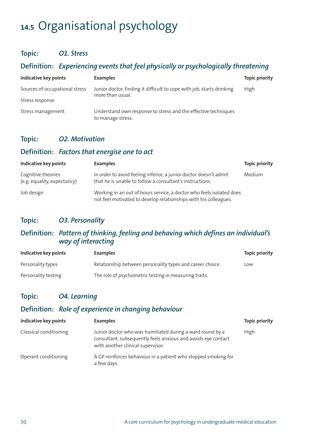# **14.5** Organisational psychology

#### **Topic:** *O1. Stress*

#### **Definition:** *Experiencing events that feel physically or psychologically threatening*

| Indicative key points          | <b>Examples</b>                                                                     | <b>Topic priority</b> |
|--------------------------------|-------------------------------------------------------------------------------------|-----------------------|
| Sources of occupational stress | Junior doctor, finding it difficult to cope with job, starts drinking               | High                  |
| Stress response                | more than usual.                                                                    |                       |
| Stress management              | Understand own response to stress and the effective techniques<br>to manage stress. |                       |

#### **Topic:** *O2. Motivation*

#### **Definition:** *Factors that energise one to act*

| Indicative key points                             | <b>Examples</b>                                                                                                                          | <b>Topic priority</b> |
|---------------------------------------------------|------------------------------------------------------------------------------------------------------------------------------------------|-----------------------|
| Cognitive theories<br>(e.g. equality, expectancy) | In order to avoid feeling inferior, a junior doctor doesn't admit<br>that he is unable to follow a consultant's instructions.            | Medium                |
| Job design                                        | Working in an out of hours service, a doctor who feels isolated does<br>not feel motivated to develop relationships with his colleagues. |                       |

#### **Topic:** *O3. Personality*

#### **Definition:** *Pattern of thinking, feeling and behaving which defines an individual's way of interacting*

| Indicative key points | <b>Examples</b>                                           | <b>Topic priority</b> |
|-----------------------|-----------------------------------------------------------|-----------------------|
| Personality types     | Relationship between personality types and career choice. | Low                   |
| Personality testing   | The role of psychometric testing in measuring traits.     |                       |

#### **Topic:** *O4. Learning*

### **Definition:** *Role of experience in changing behaviour*

| Indicative key points  | <b>Examples</b>                                                                                                                                                 | <b>Topic priority</b> |
|------------------------|-----------------------------------------------------------------------------------------------------------------------------------------------------------------|-----------------------|
| Classical conditioning | Junior doctor who was humiliated during a ward round by a<br>consultant, subsequently feels anxious and avoids eye contact<br>with another clinical supervisor. | High                  |
| Operant conditioning   | A GP reinforces behaviour in a patient who stopped smoking for<br>a few days.                                                                                   |                       |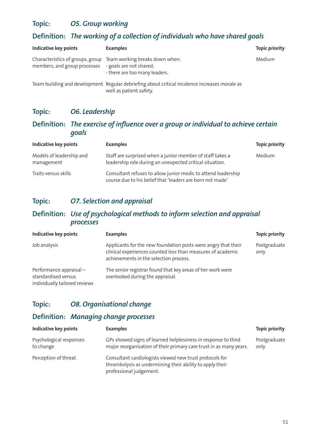#### **Topic:** *O5. Group working*

### **Definition:** *The working of a collection of individuals who have shared goals*

| Indicative key points                                            | <b>Examples</b>                                                                                                          | <b>Topic priority</b> |
|------------------------------------------------------------------|--------------------------------------------------------------------------------------------------------------------------|-----------------------|
| Characteristics of groups, group<br>members, and group processes | Team working breaks down when:<br>- goals are not shared;<br>- there are too many leaders.                               | Medium                |
|                                                                  | Team building and development Regular debriefing about critical incidence increases morale as<br>well as patient safety. |                       |

#### **Topic:** *O6. Leadership*

#### **Definition:** *The exercise of influence over a group or individual to achieve certain goals*

| Indicative key points                  | <b>Examples</b>                                                                                                             | <b>Topic priority</b> |
|----------------------------------------|-----------------------------------------------------------------------------------------------------------------------------|-----------------------|
| Models of leadership and<br>management | Staff are surprised when a junior member of staff takes a<br>leadership role during an unexpected critical situation.       | Medium                |
| Traits versus skills                   | Consultant refuses to allow junior medic to attend leadership<br>course due to his belief that 'leaders are born not made'. |                       |

#### **Topic:** *O7. Selection and appraisal*

#### **Definition:** *Use of psychological methods to inform selection and appraisal processes*

| <b>Indicative key points</b>                                                    | <b>Examples</b>                                                                                                                                                        | <b>Topic priority</b> |
|---------------------------------------------------------------------------------|------------------------------------------------------------------------------------------------------------------------------------------------------------------------|-----------------------|
| Job analysis                                                                    | Applicants for the new foundation posts were angry that their<br>clinical experiences counted less than measures of academic<br>achievements in the selection process. | Postgraduate<br>only  |
| Performance appraisal -<br>standardised versus<br>individually tailored reviews | The senior registrar found that key areas of her work were<br>overlooked during the appraisal.                                                                         |                       |

#### **Topic:** *O8. Organisational change*

#### **Definition:** *Managing change processes*

| <b>Indicative key points</b>         | <b>Examples</b>                                                                                                                                | <b>Topic priority</b> |
|--------------------------------------|------------------------------------------------------------------------------------------------------------------------------------------------|-----------------------|
| Psychological responses<br>to change | GPs showed signs of learned helplessness in response to third<br>major reorganisation of their primary care trust in as many years.            | Postgraduate<br>only  |
| Perception of threat                 | Consultant cardiologists viewed new trust protocols for<br>thrombolysis as undermining their ability to apply their<br>professional judgement. |                       |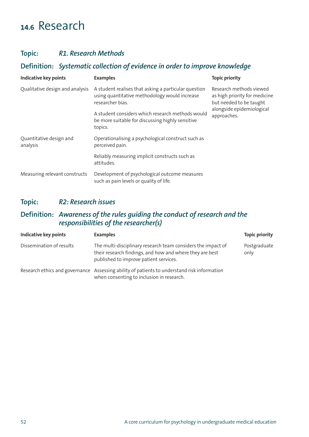## **14.6** Research

#### **Topic:** *R1. Research Methods*

#### **Definition:** *Systematic collection of evidence in order to improve knowledge*

| <b>Indicative key points</b>        | <b>Examples</b>                                                                                                           | <b>Topic priority</b>                                                                                                           |
|-------------------------------------|---------------------------------------------------------------------------------------------------------------------------|---------------------------------------------------------------------------------------------------------------------------------|
| Qualitative design and analysis     | A student realises that asking a particular question<br>using quantitative methodology would increase<br>researcher bias. | Research methods viewed<br>as high priority for medicine<br>but needed to be taught<br>alongside epidemiological<br>approaches. |
|                                     | A student considers which research methods would<br>be more suitable for discussing highly sensitive<br>topics.           |                                                                                                                                 |
| Quantitative design and<br>analysis | Operationalising a psychological construct such as<br>perceived pain.                                                     |                                                                                                                                 |
|                                     | Reliably measuring implicit constructs such as<br>attitudes.                                                              |                                                                                                                                 |
| Measuring relevant constructs       | Development of psychological outcome measures<br>such as pain levels or quality of life.                                  |                                                                                                                                 |

#### **Topic:** *R2: Research issues*

#### **Definition:** *Awareness of the rules guiding the conduct of research and the responsibilities of the researcher(s)*

| Indicative key points    | <b>Examples</b>                                                                                                                                                    | <b>Topic priority</b> |
|--------------------------|--------------------------------------------------------------------------------------------------------------------------------------------------------------------|-----------------------|
| Dissemination of results | The multi-disciplinary research team considers the impact of<br>their research findings, and how and where they are best<br>published to improve patient services. | Postgraduate<br>only  |
|                          | Research ethics and governance Assessing ability of patients to understand risk information<br>when consenting to inclusion in research.                           |                       |